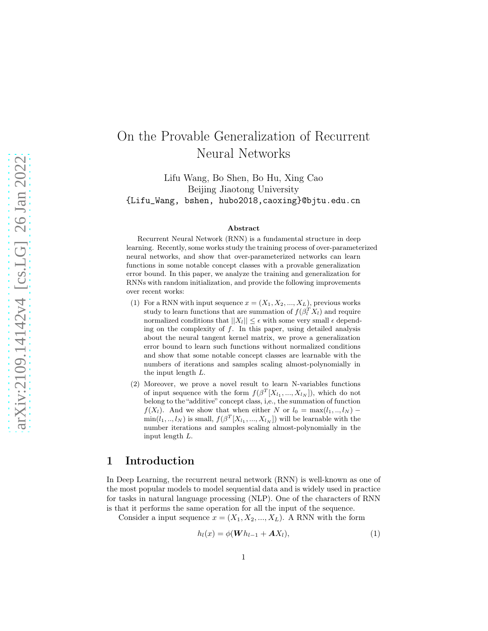# On the Provable Generalization of Recurrent Neural Networks

Lifu Wang, Bo Shen, Bo Hu, Xing Cao Beijing Jiaotong University {Lifu\_Wang, bshen, hubo2018,caoxing}@bjtu.edu.cn

#### Abstract

Recurrent Neural Network (RNN) is a fundamental structure in deep learning. Recently, some works study the training process of over-parameterized neural networks, and show that over-parameterized networks can learn functions in some notable concept classes with a provable generalization error bound. In this paper, we analyze the training and generalization for RNNs with random initialization, and provide the following improvements over recent works:

- (1) For a RNN with input sequence  $x = (X_1, X_2, ..., X_L)$ , previous works study to learn functions that are summation of  $f(\beta_l^T \hat{X}_l)$  and require normalized conditions that  $||X_l|| \leq \epsilon$  with some very small  $\epsilon$  depending on the complexity of  $f$ . In this paper, using detailed analysis about the neural tangent kernel matrix, we prove a generalization error bound to learn such functions without normalized conditions and show that some notable concept classes are learnable with the numbers of iterations and samples scaling almost-polynomially in the input length L.
- (2) Moreover, we prove a novel result to learn N-variables functions of input sequence with the form  $f(\beta^T[X_{l_1},...,X_{l_N}])$ , which do not belong to the "additive" concept class, i,e., the summation of function  $f(X_l)$ . And we show that when either N or  $l_0 = \max(l_1,..,l_N)$  –  $\min(l_1, ..., l_N)$  is small,  $f(\beta^T[X_{l_1}, ..., X_{l_N}])$  will be learnable with the number iterations and samples scaling almost-polynomially in the input length L.

## 1 Introduction

In Deep Learning, the recurrent neural network (RNN) is well-known as one of the most popular models to model sequential data and is widely used in practice for tasks in natural language processing (NLP). One of the characters of RNN is that it performs the same operation for all the input of the sequence.

Consider a input sequence  $x = (X_1, X_2, ..., X_L)$ . A RNN with the form

<span id="page-0-0"></span>
$$
h_l(x) = \phi(\boldsymbol{W} h_{l-1} + \boldsymbol{A} X_l), \tag{1}
$$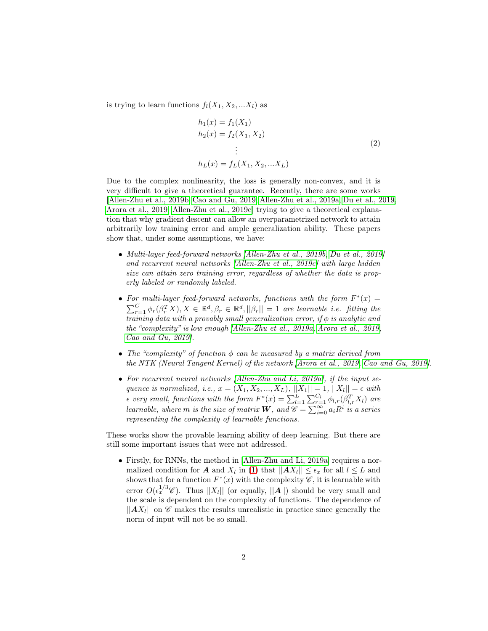is trying to learn functions  $f_l(X_1, X_2, ... X_l)$  as

$$
h_1(x) = f_1(X_1)
$$
  
\n
$$
h_2(x) = f_2(X_1, X_2)
$$
  
\n
$$
\vdots
$$
  
\n
$$
h_L(x) = f_L(X_1, X_2, ... X_L)
$$
\n(2)

Due to the complex nonlinearity, the loss is generally non-convex, and it is very difficult to give a theoretical guarantee. Recently, there are some works [\[Allen-Zhu et al., 2019b,](#page-13-0) [Cao and Gu, 2019,](#page-14-0) [Allen-Zhu et al.,](#page-13-1) 2019a, [Du et al., 2019,](#page-15-0) [Arora et al., 2019,](#page-14-1) [Allen-Zhu et al., 2019c\]](#page-13-2) trying to give a theoretical explanation that why gradient descent can allow an overparametrized network to attain arbitrarily low training error and ample generalization ability. These papers show that, under some assumptions, we have:

- Multi-layer feed-forward networks [\[Allen-Zhu et al., 2019b,](#page-13-0) [Du et al., 2019\]](#page-15-0) and recurrent neural networks [\[Allen-Zhu et al., 2019c\]](#page-13-2) with large hidden size can attain zero training error, regardless of whether the data is properly labeled or randomly labeled.
- For multi-layer feed-forward networks, functions with the form  $F^*(x) =$  $\sum_{r=1}^{C} \phi_r(\beta_r^T X), X \in \mathbb{R}^d, \beta_r \in \mathbb{R}^d, ||\beta_r|| = 1$  are learnable i.e. fitting the  $\overline{training}$  data with a provably small generalization error, if  $\phi$  is analytic and the "complexity" is low enough [\[Allen-Zhu et al., 2019a,](#page-13-1) [Arora et al., 2019,](#page-14-1) [Cao and Gu, 2019\]](#page-14-0).
- The "complexity" of function  $\phi$  can be measured by a matrix derived from the NTK (Neural Tangent Kernel) of the network [\[Arora et al., 2019,](#page-14-1) [Cao and Gu, 2019\]](#page-14-0).
- For recurrent neural networks [\[Allen-Zhu and Li, 2019a\]](#page-13-3), if the input sequence is normalized, i.e.,  $x = (X_1, X_2, ..., X_L)$ ,  $||X_1|| = 1$ ,  $||X_l|| = \epsilon$  with  $\epsilon$  very small, functions with the form  $F^*(x) = \sum_{l=1}^{L} \sum_{r=1}^{C_l} \phi_{l,r}(\beta_{l,r}^T X_l)$  are learnable, where  $m$  is the size of matrix  $\bm{W},$  and  $\mathscr{C} = \sum_{i=0}^{\infty} a_i R^i$  is a series representing the complexity of learnable functions.

These works show the provable learning ability of deep learning. But there are still some important issues that were not addressed.

• Firstly, for RNNs, the method in [\[Allen-Zhu and Li, 2019a\]](#page-13-3) requires a normalized condition for  $A$  and  $X_l$  in [\(1\)](#page-0-0) that  $||AX_l|| \leq \epsilon_x$  for all  $l \leq L$  and shows that for a function  $F^*(x)$  with the complexity  $\mathscr{C}$ , it is learnable with error  $O(\epsilon_x^{1/3}\mathscr{C})$ . Thus  $||X_l||$  (or equally,  $||A||$ ) should be very small and the scale is dependent on the complexity of functions. The dependence of  $||AX_l||$  on  $\mathscr C$  makes the results unrealistic in practice since generally the norm of input will not be so small.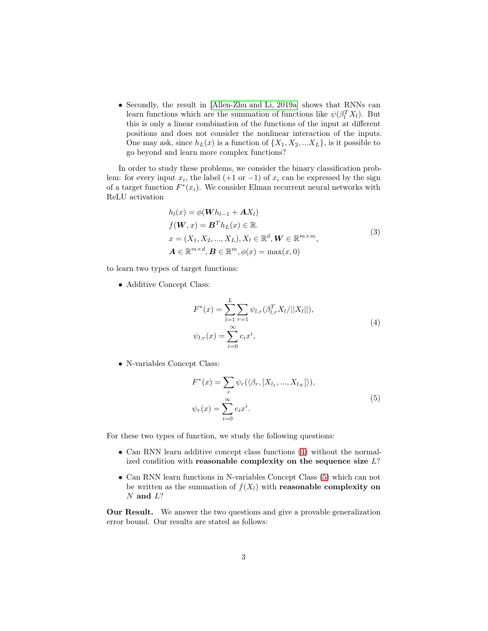• Secondly, the result in [\[Allen-Zhu and Li, 2019a\]](#page-13-3) shows that RNNs can learn functions which are the summation of functions like  $\psi(\beta_l^T X_l)$ . But this is only a linear combination of the functions of the input at different positions and does not consider the nonlinear interaction of the inputs. One may ask, since  $h_L(x)$  is a function of  $\{X_1, X_2, ... X_L\}$ , is it possible to go beyond and learn more complex functions?

In order to study these problems, we consider the binary classification problem: for every input  $x_i$ , the label (+1 or -1) of  $x_i$  can be expressed by the sign of a target function  $F^*(x_i)$ . We consider Elman recurrent neural networks with ReLU activation

<span id="page-2-2"></span>
$$
h_l(x) = \phi(\mathbf{W}h_{l-1} + \mathbf{A}X_l)
$$
  
\n
$$
f(\mathbf{W}, x) = \mathbf{B}^T h_L(x) \in \mathbb{R}.
$$
  
\n
$$
x = (X_1, X_2, ..., X_L), X_l \in \mathbb{R}^d, \mathbf{W} \in \mathbb{R}^{m \times m},
$$
  
\n
$$
\mathbf{A} \in \mathbb{R}^{m \times d}, \mathbf{B} \in \mathbb{R}^m, \phi(x) = \max(x, 0)
$$
\n(3)

to learn two types of target functions:

• Additive Concept Class:

<span id="page-2-0"></span>
$$
F^*(x) = \sum_{l=1}^{L} \sum_{r=1} \psi_{l,r}(\beta_{l,r}^T X_l/||X_l||),
$$
  

$$
\psi_{l,r}(x) = \sum_{i=0}^{\infty} c_i x^i,
$$
 (4)

• N-variables Concept Class:

<span id="page-2-1"></span>
$$
F^*(x) = \sum_{r} \psi_r(\langle \beta_r, [X_{l_1}, ..., X_{l_N}]\rangle),
$$
  

$$
\psi_r(x) = \sum_{i=0}^{\infty} c_i x^i.
$$
 (5)

For these two types of function, we study the following questions:

- Can RNN learn additive concept class functions [\(4\)](#page-2-0) without the normalized condition with reasonable complexity on the sequence size  $L$ ?
- Can RNN learn functions in N-variables Concept Class [\(5\)](#page-2-1) which can not be written as the summation of  $f(X_l)$  with reasonable complexity on  $N$  and  $L$ ?

Our Result. We answer the two questions and give a provable generalization error bound. Our results are stated as follows: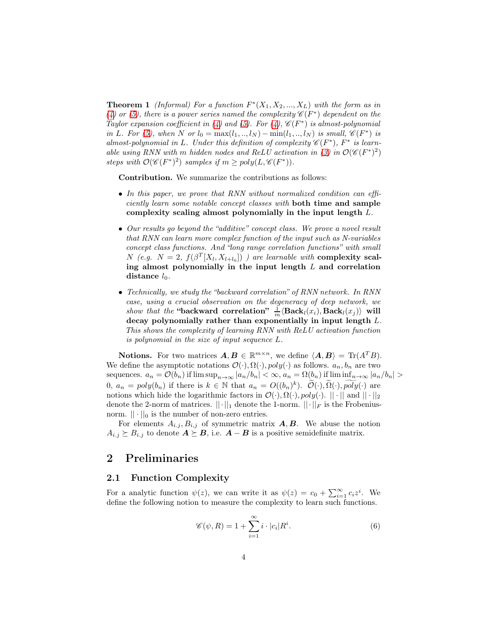**Theorem 1** (Informal) For a function  $F^*(X_1, X_2, ..., X_L)$  with the form as in [\(4\)](#page-2-0) or [\(5\)](#page-2-1), there is a power series named the complexity  $\mathscr{C}(F^*)$  dependent on the Taylor expansion coefficient in [\(4\)](#page-2-0) and [\(5\)](#page-2-1). For (4),  $\mathscr{C}(F^*)$  is almost-polynomial in L. For [\(5\)](#page-2-1), when N or  $l_0 = \max(l_1, ..., l_N) - \min(l_1, ..., l_N)$  is small,  $\mathscr{C}(F^*)$  is almost-polynomial in L. Under this definition of complexity  $\mathscr{C}(F^*)$ ,  $F^*$  is learn-able using RNN with m hidden nodes and ReLU activation in [\(3\)](#page-2-2) in  $\mathcal{O}(\mathscr{C}(F^*)^2)$ steps with  $\mathcal{O}(\mathscr{C}(F^*)^2)$  samples if  $m \geq poly(L, \mathscr{C}(F^*))$ .

Contribution. We summarize the contributions as follows:

- In this paper, we prove that RNN without normalized condition can efficiently learn some notable concept classes with both time and sample complexity scaling almost polynomially in the input length L.
- Our results go beyond the "additive" concept class. We prove a novel result that RNN can learn more complex function of the input such as N-variables concept class functions. And "long range correlation functions" with small N (e.g.  $N = 2$ ,  $f(\beta^T[X_l, X_{l+l_0}])$  ) are learnable with **complexity scal**ing almost polynomially in the input length  $L$  and correlation distance  $l_0$ .
- Technically, we study the "backward correlation" of RNN network. In RNN case, using a crucial observation on the degeneracy of deep network, we show that the "backward correlation"  $\frac{1}{m} \langle \text{Back}_l(x_i), \text{Back}_l(x_j) \rangle$  will decay polynomially rather than exponentially in input length L. This shows the complexity of learning RNN with ReLU activation function is polynomial in the size of input sequence L.

**Notions.** For two matrices  $A, B \in \mathbb{R}^{m \times n}$ , we define  $\langle A, B \rangle = \text{Tr}(A^T B)$ . We define the asymptotic notations  $\mathcal{O}(\cdot), \Omega(\cdot), poly(\cdot)$  as follows.  $a_n, b_n$  are two sequences.  $a_n = \mathcal{O}(b_n)$  if  $\limsup_{n\to\infty} |a_n/b_n| < \infty$ ,  $a_n = \Omega(b_n)$  if  $\liminf_{n\to\infty} |a_n/b_n| >$ 0,  $a_n = poly(b_n)$  if there is  $k \in \mathbb{N}$  that  $a_n = O((b_n)^k)$ .  $\widetilde{O}(\cdot), \widetilde{\Omega}(\cdot), \widetilde{poly}(\cdot)$  are notions which hide the logarithmic factors in  $\mathcal{O}(\cdot), \Omega(\cdot), poly(\cdot)$ .  $|| \cdot ||$  and  $|| \cdot ||_2$ denote the 2-norm of matrices.  $||\cdot||_1$  denote the 1-norm.  $||\cdot||_F$  is the Frobeniusnorm.  $|| \cdot ||_0$  is the number of non-zero entries.

For elements  $A_{i,j}, B_{i,j}$  of symmetric matrix  $A, B$ . We abuse the notion  $A_{i,j} \succeq B_{i,j}$  to denote  $A \succeq B$ , i.e.  $A - B$  is a positive semidefinite matrix.

## <span id="page-3-0"></span>2 Preliminaries

### 2.1 Function Complexity

For a analytic function  $\psi(z)$ , we can write it as  $\psi(z) = c_0 + \sum_{i=1}^{\infty} c_i z^i$ . We define the following notion to measure the complexity to learn such functions.

$$
\mathscr{C}(\psi, R) = 1 + \sum_{i=1}^{\infty} i \cdot |c_i| R^i.
$$
 (6)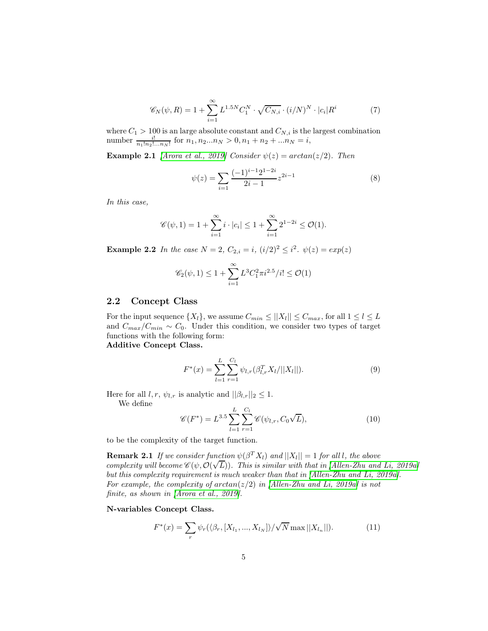$$
\mathscr{C}_{N}(\psi, R) = 1 + \sum_{i=1}^{\infty} L^{1.5N} C_{1}^{N} \cdot \sqrt{C_{N,i}} \cdot (i/N)^{N} \cdot |c_{i}| R^{i}
$$
(7)

where  $C_1 > 100$  is an large absolute constant and  $C_{N,i}$  is the largest combination number  $\frac{i!}{n_1! n_2! \dots n_N!}$  for  $n_1, n_2...n_N > 0, n_1 + n_2 + ... n_N = i$ ,

**Example 2.1** [\[Arora et al., 2019\]](#page-14-1) Consider  $\psi(z) = \arctan(z/2)$ . Then

$$
\psi(z) = \sum_{i=1}^{\infty} \frac{(-1)^{i-1} 2^{1-2i}}{2i-1} z^{2i-1}
$$
\n(8)

In this case,

$$
\mathscr{C}(\psi, 1) = 1 + \sum_{i=1}^{\infty} i \cdot |c_i| \le 1 + \sum_{i=1}^{\infty} 2^{1-2i} \le \mathcal{O}(1).
$$

**Example 2.2** In the case  $N = 2$ ,  $C_{2,i} = i$ ,  $(i/2)^2 \le i^2$ .  $\psi(z) = exp(z)$ 

$$
\mathscr{C}_2(\psi, 1) \le 1 + \sum_{i=1}^{\infty} L^3 C_1^2 \pi i^{2.5} / i! \le \mathcal{O}(1)
$$

### <span id="page-4-3"></span>2.2 Concept Class

For the input sequence  $\{X_l\}$ , we assume  $C_{min} \leq ||X_l|| \leq C_{max}$ , for all  $1 \leq l \leq L$ and  $C_{max}/C_{min} \sim C_0$ . Under this condition, we consider two types of target functions with the following form:

Additive Concept Class.

<span id="page-4-1"></span>
$$
F^*(x) = \sum_{l=1}^{L} \sum_{r=1}^{C_l} \psi_{l,r}(\beta_{l,r}^T X_l/||X_l||).
$$
 (9)

Here for all  $l, r, \psi_{l,r}$  is analytic and  $||\beta_{l,r}||_2 \leq 1$ .

We define

<span id="page-4-0"></span>
$$
\mathscr{C}(F^*) = L^{3.5} \sum_{l=1}^{L} \sum_{r=1}^{C_l} \mathscr{C}(\psi_{l,r}, C_0 \sqrt{L}), \qquad (10)
$$

to be the complexity of the target function.

**Remark 2.1** If we consider function  $\psi(\beta^T X_l)$  and  $||X_l|| = 1$  for all l, the above complexity will become  $\mathscr{C}(\psi, \mathcal{O}(\sqrt{L}))$ . This is similar with that in [\[Allen-Zhu and Li, 2019a\]](#page-13-3) but this complexity requirement is much weaker than that in [\[Allen-Zhu and Li, 2019a\]](#page-13-3). For example, the complexity of  $arctan(z/2)$  in [\[Allen-Zhu and Li, 2019a\]](#page-13-3) is not finite, as shown in [\[Arora et al., 2019\]](#page-14-1).

N-variables Concept Class.

<span id="page-4-2"></span>
$$
F^*(x) = \sum_{r} \psi_r(\langle \beta_r, [X_{l_1}, ..., X_{l_N}] \rangle / \sqrt{N} \max ||X_{l_n}||).
$$
 (11)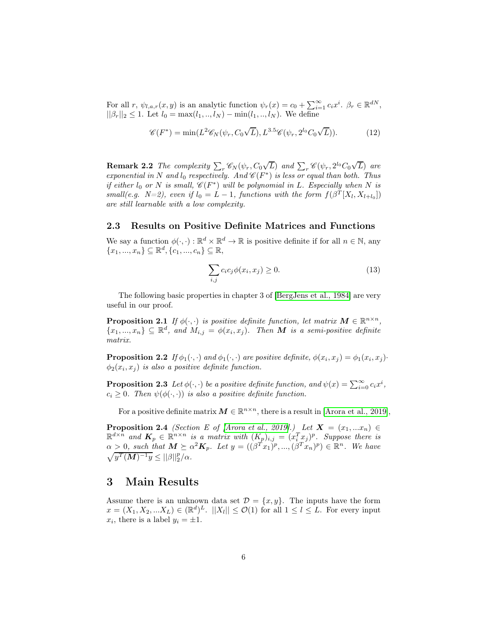For all r,  $\psi_{l,a,r}(x, y)$  is an analytic function  $\psi_r(x) = c_0 + \sum_{i=1}^{\infty} c_i x^i$ .  $\beta_r \in \mathbb{R}^{dN}$ ,  $||\beta_r||_2 \leq 1$ . Let  $l_0 = \max(l_1, ..., l_N) - \min(l_1, ..., l_N)$ . We define

<span id="page-5-0"></span>
$$
\mathscr{C}(F^*) = \min(L^2 \mathscr{C}_N(\psi_r, C_0\sqrt{L}), L^{3.5} \mathscr{C}(\psi_r, 2^{l_0} C_0\sqrt{L})).
$$
 (12)

**Remark 2.2** The complexity  $\sum_{r} \mathscr{C}_{N}(\psi_{r}, C_{0}\sqrt{L})$  and  $\sum_{r} \mathscr{C}(\psi_{r}, 2^{l_{0}}C_{0}\sqrt{L})$  are exponential in N and  $l_0$  respectively. And  $\mathscr{C}(F^*)$  is less or equal than both. Thus if either  $l_0$  or N is small,  $\mathscr{C}(F^*)$  will be polynomial in L. Especially when N is small(e.g.  $N=2$ ), even if  $l_0 = L - 1$ , functions with the form  $f(\beta^T[X_l, X_{l+l_0}])$ are still learnable with a low complexity.

### 2.3 Results on Positive Definite Matrices and Functions

We say a function  $\phi(\cdot, \cdot) : \mathbb{R}^d \times \mathbb{R}^d \to \mathbb{R}$  is positive definite if for all  $n \in \mathbb{N}$ , any  ${x_1, ..., x_n} \subseteq \mathbb{R}^d, \{c_1, ..., c_n\} \subseteq \mathbb{R},$ 

<span id="page-5-1"></span>
$$
\sum_{i,j} c_i c_j \phi(x_i, x_j) \ge 0.
$$
\n(13)

The following basic properties in chapter 3 of [\[BergJens et al., 1984\]](#page-14-2) are very useful in our proof.

**Proposition 2.1** If  $\phi(\cdot, \cdot)$  is positive definite function, let matrix  $M \in \mathbb{R}^{n \times n}$ ,  $\{x_1, ..., x_n\} \subseteq \mathbb{R}^d$ , and  $M_{i,j} = \phi(x_i, x_j)$ . Then **M** is a semi-positive definite matrix.

<span id="page-5-2"></span>**Proposition 2.2** If  $\phi_1(\cdot, \cdot)$  and  $\phi_1(\cdot, \cdot)$  are positive definite,  $\phi(x_i, x_j) = \phi_1(x_i, x_j)$ .  $\phi_2(x_i, x_j)$  is also a positive definite function.

<span id="page-5-3"></span>**Proposition 2.3** Let  $\phi(\cdot, \cdot)$  be a positive definite function, and  $\psi(x) = \sum_{i=0}^{\infty} c_i x^i$ ,  $c_i \geq 0$ . Then  $\psi(\phi(\cdot, \cdot))$  is also a positive definite function.

For a positive definite matrix  $M \in \mathbb{R}^{n \times n}$ , there is a result in [\[Arora et al., 2019\]](#page-14-1),

**Proposition 2.4** (Section E of [\[Arora et al., 2019\]](#page-14-1).) Let  $X = (x_1, ... x_n) \in$  $\mathbb{R}^{d \times n}$  and  $K_p \in \mathbb{R}^{n \times n}$  is a matrix with  $(K_p)_{i,j} = (x_i^T x_j)^p$ . Suppose there is  $\alpha \geq 0$ , such that  $\mathbf{M} \succeq \alpha^2 \mathbf{K}_p$ . Let  $y = ((\beta^T x_1)^p, ..., (\beta^T x_n)^p) \in \mathbb{R}^n$ . We have  $\sqrt{y^T (\boldsymbol{M})^{-1} y} \leq ||\beta||_2^p/\alpha.$ 

## 3 Main Results

Assume there is an unknown data set  $\mathcal{D} = \{x, y\}$ . The inputs have the form  $x = (X_1, X_2, ... X_L) \in (\mathbb{R}^d)^L$ .  $||X_l|| \leq \mathcal{O}(1)$  for all  $1 \leq l \leq L$ . For every input  $x_i$ , there is a label  $y_i = \pm 1$ .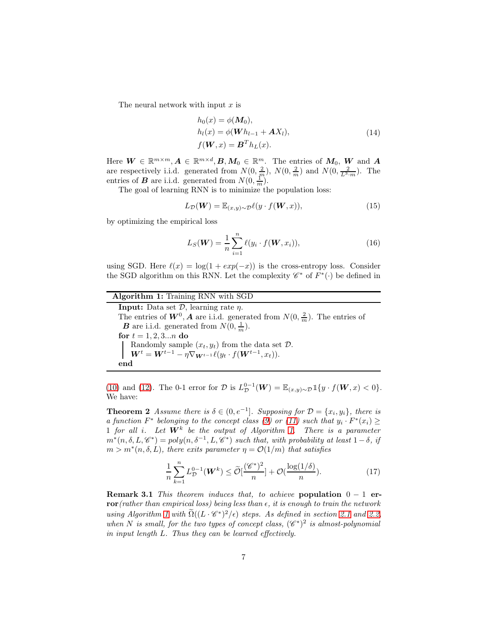The neural network with input  $x$  is

$$
h_0(x) = \phi(M_0),
$$
  
\n
$$
h_l(x) = \phi(\boldsymbol{W} h_{l-1} + \boldsymbol{A} X_l),
$$
  
\n
$$
f(\boldsymbol{W}, x) = \boldsymbol{B}^T h_L(x).
$$
\n(14)

Here  $W \in \mathbb{R}^{m \times m}$ ,  $A \in \mathbb{R}^{m \times d}$ ,  $B, M_0 \in \mathbb{R}^m$ . The entries of  $M_0$ ,  $W$  and  $A$ are respectively i.i.d. generated from  $N(0, \frac{2}{m})$ ,  $N(0, \frac{2}{m})$  and  $N(0, \frac{2}{L^3 \cdot m})$ . The entries of **B** are i.i.d. generated from  $N(0, \frac{1}{m})$ .

The goal of learning RNN is to minimize the population loss:

$$
L_{\mathcal{D}}(\mathbf{W}) = \mathbb{E}_{(x,y)\sim\mathcal{D}}\ell(y \cdot f(\mathbf{W},x)),\tag{15}
$$

by optimizing the empirical loss

<span id="page-6-0"></span>
$$
L_S(\mathbf{W}) = \frac{1}{n} \sum_{i=1}^{n} \ell(y_i \cdot f(\mathbf{W}, x_i)),
$$
\n(16)

using SGD. Here  $\ell(x) = \log(1 + exp(-x))$  is the cross-entropy loss. Consider the SGD algorithm on this RNN. Let the complexity  $\mathscr{C}^*$  of  $F^*(\cdot)$  be defined in

| <b>Algorithm 1:</b> Training RNN with SGD                                                                                                                                                      |
|------------------------------------------------------------------------------------------------------------------------------------------------------------------------------------------------|
| <b>Input:</b> Data set $\mathcal{D}$ , learning rate $\eta$ .                                                                                                                                  |
| The entries of $W^0$ , <b>A</b> are i.i.d. generated from $N(0, \frac{2}{m})$ . The entries of                                                                                                 |
| <b>B</b> are i.i.d. generated from $N(0, \frac{1}{m})$ .                                                                                                                                       |
| for $t = 1, 2, 3n$ do                                                                                                                                                                          |
| Randomly sample $(x_t, y_t)$ from the data set $\mathcal{D}$ .<br>$\boldsymbol{W}^t = \boldsymbol{W}^{t-1} - \eta \nabla_{\boldsymbol{W}^{t-1}} \ell(y_t \cdot f(\boldsymbol{W}^{t-1}, x_t)).$ |
|                                                                                                                                                                                                |
| end                                                                                                                                                                                            |

<span id="page-6-1"></span>[\(10\)](#page-4-0) and [\(12\)](#page-5-0). The 0-1 error for  $\mathcal{D}$  is  $L_{\mathcal{D}}^{0-1}(\boldsymbol{W}) = \mathbb{E}_{(x,y)\sim\mathcal{D}} \mathbb{1}\{y \cdot f(\boldsymbol{W},x) < 0\}.$ We have:

**Theorem 2** Assume there is  $\delta \in (0, e^{-1}]$ . Supposing for  $\mathcal{D} = \{x_i, y_i\}$ , there is a function  $F^*$  belonging to the concept class [\(9\)](#page-4-1) or [\(11\)](#page-4-2) such that  $y_i \cdot F^*(x_i) \ge$ 1 for all i. Let  $W^k$  be the output of Algorithm [1.](#page-6-0) There is a parameter  $m^*(n, \delta, L, \mathscr{C}^*) = poly(n, \delta^{-1}, L, \mathscr{C}^*)$  such that, with probability at least  $1-\delta$ , if  $m > m^*(n, \delta, L)$ , there exits parameter  $\eta = \mathcal{O}(1/m)$  that satisfies

$$
\frac{1}{n}\sum_{k=1}^{n}L_{\mathcal{D}}^{0-1}(\boldsymbol{W}^{k}) \leq \widetilde{\mathcal{O}}\left[\frac{(\mathscr{C}^{*})^{2}}{n}\right] + \mathcal{O}\left(\frac{\log(1/\delta)}{n}\right). \tag{17}
$$

Remark 3.1 This theorem induces that, to achieve population  $0 - 1$  error(rather than empirical loss) being less than  $\epsilon$ , it is enough to train the network using Algorithm [1](#page-6-0) with  $\widetilde{\Omega}((L \cdot \mathscr{C}^*)^2/\epsilon)$  steps. As defined in section [2.1](#page-3-0) and [2.2,](#page-4-3) when N is small, for the two types of concept class,  $({\mathscr{C}}^*)^2$  is almost-polynomial in input length L. Thus they can be learned effectively.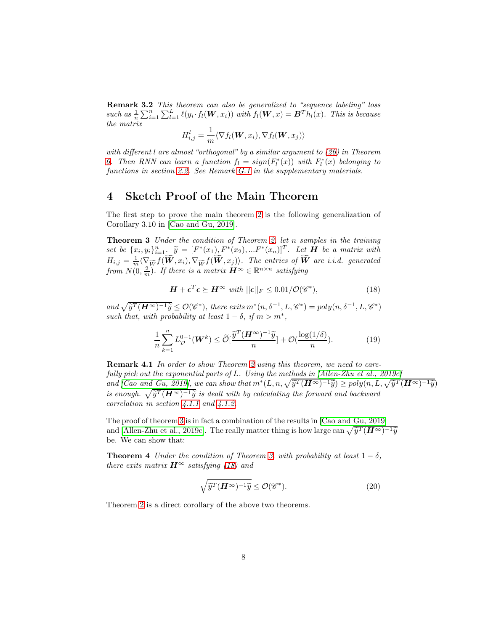**Remark 3.2** This theorem can also be generalized to "sequence labeling" loss such as  $\frac{1}{n}\sum_{i=1}^n\sum_{l=1}^L \ell(y_i \cdot f_l(\boldsymbol{W}, x_i))$  with  $f_l(\boldsymbol{W}, x) = \boldsymbol{B}^T h_l(x)$ . This is because the matrix

$$
H_{i,j}^l = \frac{1}{m} \langle \nabla f_l(\boldsymbol{W}, x_i), \nabla f_l(\boldsymbol{W}, x_j) \rangle
$$

with different l are almost "orthogonal" by a similar argument to [\(26\)](#page-8-0) in Theorem [6.](#page-8-1) Then RNN can learn a function  $f_l = sign(F_l^*(x))$  with  $F_l^*(x)$  belonging to functions in section [2.2.](#page-4-3) See Remark [G.1](#page-38-0) in the supplementary materials.

## 4 Sketch Proof of the Main Theorem

The first step to prove the main theorem [2](#page-6-1) is the following generalization of Corollary 3.10 in [\[Cao and Gu, 2019\]](#page-14-0).

Theorem 3 Under the condition of Theorem [2,](#page-6-1) let n samples in the training set be  $\{x_i, y_i\}_{i=1}^n$   $\widetilde{y} = [F^*(x_1), F^*(x_2), ... F^*(x_n)]^T$ . Let **H** be a matrix with  $H_{i,j} = \frac{1}{m} \langle \nabla_{\widetilde{W}} f(\widetilde{\boldsymbol{W}}, x_i), \nabla_{\widetilde{W}} f(\widetilde{\boldsymbol{W}}, x_j) \rangle$ . The entries of  $\widetilde{\boldsymbol{W}}$  are i.i.d. generated from  $N(0, \frac{2}{m})$ . If there is a matrix  $\mathbf{H}^{\infty} \in \mathbb{R}^{n \times n}$  satisfying

<span id="page-7-1"></span><span id="page-7-0"></span>
$$
\boldsymbol{H} + \boldsymbol{\epsilon}^T \boldsymbol{\epsilon} \succeq \boldsymbol{H}^{\infty} \ \text{with} \ ||\boldsymbol{\epsilon}||_F \leq 0.01/\mathcal{O}(\mathscr{C}^*), \tag{18}
$$

and  $\sqrt{\tilde{y}^T (\mathbf{H}^{\infty})^{-1} \tilde{y}} \leq \mathcal{O}(\mathscr{C}^*)$ , there exits  $m^*(n, \delta^{-1}, L, \mathscr{C}^*) = poly(n, \delta^{-1}, L, \mathscr{C}^*)$ such that, with probability at least  $1 - \delta$ , if  $m > m^*$ ,

$$
\frac{1}{n}\sum_{k=1}^{n} L_{\mathcal{D}}^{0-1}(\boldsymbol{W}^k) \le \widetilde{\mathcal{O}}\left[\frac{\widetilde{y}^T(\boldsymbol{H}^{\infty})^{-1}\widetilde{y}}{n}\right] + \mathcal{O}\left(\frac{\log(1/\delta)}{n}\right). \tag{19}
$$

**Remark 4.1** In order to show Theorem [2](#page-6-1) using this theorem, we need to carefully pick out the exponential parts of L. Using the methods in [\[Allen-Zhu et al., 2019c\]](#page-13-2) and  $[Cao \text{ and } Gu, 2019]$ , we can show that  $m^*(L, n, \sqrt{\tilde{y}^T(H^{\infty})^{-1}\tilde{y}}) \geq poly(n, L, \sqrt{\tilde{y}^T(H^{\infty})^{-1}\tilde{y}})$ is enough.  $\sqrt{\hat{y}^T (H^{\infty})^{-1} \hat{y}}$  is dealt with by calculating the forward and backward correlation in section [4.1.1](#page-8-2) and [4.1.2.](#page-8-3)

The proof of theorem [3](#page-7-0) is in fact a combination of the results in [\[Cao and Gu, 2019\]](#page-14-0) and [\[Allen-Zhu et al., 2019c\]](#page-13-2). The really matter thing is how large can  $\sqrt{\tilde{y}^T (H^{\infty})^{-1} \tilde{y}}$ be. We can show that:

**Theorem 4** Under the condition of Theorem [3,](#page-7-0) with probability at least  $1 - \delta$ , there exits matrix  $\mathbf{H}^{\infty}$  satisfying [\(18\)](#page-7-1) and

<span id="page-7-3"></span><span id="page-7-2"></span>
$$
\sqrt{\widetilde{y}^T(\boldsymbol{H}^{\infty})^{-1}\widetilde{y}} \le \mathcal{O}(\mathscr{C}^*). \tag{20}
$$

Theorem [2](#page-6-1) is a direct corollary of the above two theorems.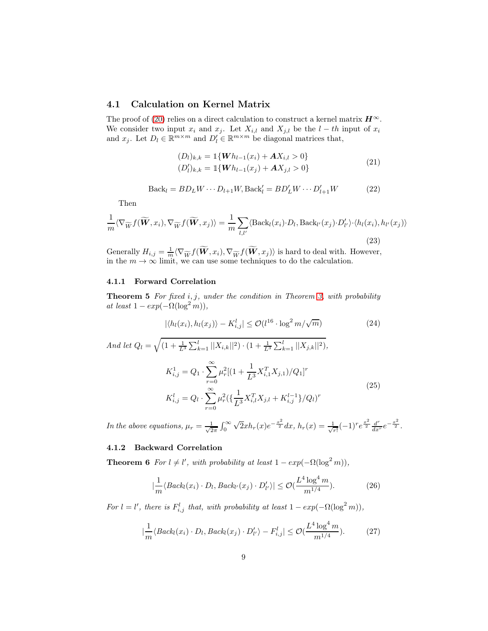### 4.1 Calculation on Kernel Matrix

The proof of [\(20\)](#page-7-2) relies on a direct calculation to construct a kernel matrix  $\mathbf{H}^{\infty}$ . We consider two input  $x_i$  and  $x_j$ . Let  $X_{i,l}$  and  $X_{j,l}$  be the  $l - th$  input of  $x_i$ and  $x_j$ . Let  $D_l \in \mathbb{R}^{m \times m}$  and  $D'_l \in \mathbb{R}^{m \times m}$  be diagonal matrices that,

$$
(D_l)_{k,k} = \mathbb{1}\{Wh_{l-1}(x_i) + AX_{i,l} > 0\}
$$
  
\n
$$
(D'_l)_{k,k} = \mathbb{1}\{Wh_{l-1}(x_j) + AX_{j,l} > 0\}
$$
 (21)

$$
Back_l = BD_L W \cdots D_{l+1} W, Back'_l = BD'_L W \cdots D'_{l+1} W \qquad (22)
$$

Then

$$
\frac{1}{m}\langle \nabla_{\widetilde{W}}f(\widetilde{W},x_i), \nabla_{\widetilde{W}}f(\widetilde{W},x_j)\rangle = \frac{1}{m}\sum_{l,l'}\langle \text{Back}_l(x_i)\cdot D_l, \text{Back}_{l'}(x_j)\cdot D'_{l'}\rangle \cdot \langle h_l(x_i), h_{l'}(x_j)\rangle
$$
\n(23)

Generally  $H_{i,j} = \frac{1}{m} \langle \nabla_{\widetilde{W}} f(\widetilde{W}, x_i), \nabla_{\widetilde{W}} f(\widetilde{W}, x_j) \rangle$  is hard to deal with. However, in the  $m \to \infty$  limit, we can use some techniques to do the calculation.

#### <span id="page-8-4"></span><span id="page-8-2"></span>4.1.1 Forward Correlation

**Theorem 5** For fixed  $i, j$ , under the condition in Theorem [3,](#page-7-0) with probability at least  $1 - exp(-\Omega(\log^2 m)),$ 

$$
|\langle h_l(x_i), h_l(x_j) \rangle - K_{i,j}^l| \le \mathcal{O}(l^{16} \cdot \log^2 m / \sqrt{m}) \tag{24}
$$

And let  $Q_l = \sqrt{\left(1 + \frac{1}{L^3} \sum_{k=1}^l ||X_{i,k}||^2\right) \cdot \left(1 + \frac{1}{L^3} \sum_{k=1}^l ||X_{j,k}||^2\right)},$  $K_{i,j}^1 = Q_1 \cdot \sum_{i=1}^{\infty}$  $r=0$  $\mu_r^2[(1+\frac{1}{L^3}X_{i,1}^TX_{j,1})/Q_1]^r$  $K_{i,j}^l = Q_l \cdot \sum^\infty$  $r=0$  $\mu_r^2 \left( \frac{1}{L^3} X_{i,l}^T X_{j,l} + K_{i,j}^{l-1} \right) / Q_l)^r$ (25)

In the above equations,  $\mu_r = \frac{1}{\sqrt{2}}$  $rac{1}{2\pi}$   $\int_0^\infty$  $\sqrt{2}xh_r(x)e^{-\frac{x^2}{2}}dx$ ,  $h_r(x)=\frac{1}{\sqrt{2}}$  $\frac{1}{r!}(-1)^{r}e^{\frac{x^{2}}{2}}\frac{d^{r}}{dx^{r}}e^{-\frac{x^{2}}{2}}.$ 

### <span id="page-8-3"></span><span id="page-8-1"></span>4.1.2 Backward Correlation

**Theorem 6** For  $l \neq l'$ , with probability at least  $1 - exp(-\Omega(\log^2 m))$ ,

<span id="page-8-0"></span>
$$
\left|\frac{1}{m}\langle Back_l(x_i) \cdot D_l, Back_{l'}(x_j) \cdot D'_{l'} \rangle\right| \le \mathcal{O}(\frac{L^4 \log^4 m}{m^{1/4}}). \tag{26}
$$

For  $l = l'$ , there is  $F_{i,j}^{l}$  that, with probability at least  $1 - exp(-\Omega(\log^2 m))$ ,

$$
|\frac{1}{m}\langle Back_l(x_i) \cdot D_l, Back_l(x_j) \cdot D'_{l'}\rangle - F^l_{i,j}| \leq \mathcal{O}(\frac{L^4 \log^4 m}{m^{1/4}}). \tag{27}
$$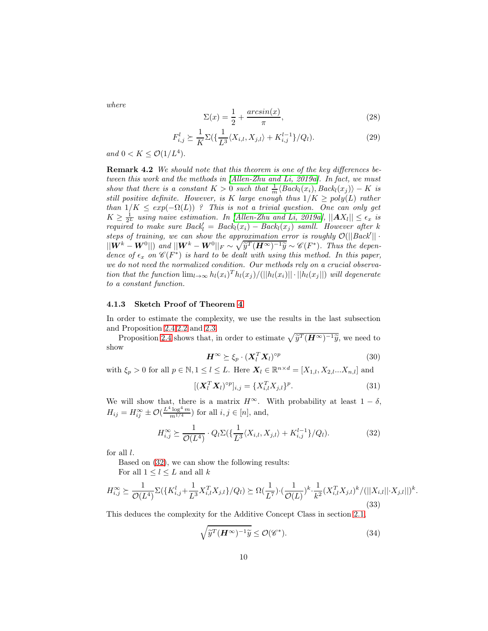where

$$
\Sigma(x) = \frac{1}{2} + \frac{\arcsin(x)}{\pi},\tag{28}
$$

$$
F_{i,j}^l \succeq \frac{1}{K} \Sigma(\{\frac{1}{L^3} \langle X_{i,l}, X_{j,l} \rangle + K_{i,j}^{l-1} \} / Q_l). \tag{29}
$$

and  $0 < K \leq \mathcal{O}(1/L^4)$ .

Remark 4.2 We should note that this theorem is one of the key differences between this work and the methods in [\[Allen-Zhu and Li, 2019a\]](#page-13-3). In fact, we must show that there is a constant  $K > 0$  such that  $\frac{1}{m} \langle Back_l(x_i), Back_l(x_j) \rangle - K$  is still positive definite. However, is K large enough thus  $1/K \geq poly(L)$  rather than  $1/K \leq exp(-\Omega(L))$ ? This is not a trivial question. One can only get  $K \geq \frac{1}{2^L}$  using naive estimation. In [\[Allen-Zhu and Li, 2019a\]](#page-13-3),  $||AX_l|| \leq \epsilon_x$  is required to make sure  $Back_l = Back_l(x_i) - Back_l(x_j)$  samll. However after k steps of training, we can show the approximation error is roughly  $\mathcal{O}(|| \textit{Back}' || \cdot$  $||\hat{W}^k - W^0||$  and  $||W^k - W^0||_F \sim \sqrt{\widetilde{y}^T (H^\infty)^{-1} \widetilde{y}} \sim \mathscr{C}(F^*)$ . Thus the dependence of  $\epsilon_x$  on  $\mathscr{C}(F^*)$  is hard to be dealt with using this method. In this paper, we do not need the normalized condition. Our methods rely on a crucial observation that the function  $\lim_{l\to\infty} h_l(x_i)^T h_l(x_j) / (||h_l(x_i)|| \cdot ||h_l(x_j||)$  will degenerate to a constant function.

### 4.1.3 Sketch Proof of Theorem [4](#page-7-3)

In order to estimate the complexity, we use the results in the last subsection and Proposition [2.4](#page-5-1)[,2.2](#page-5-2) and [2.3.](#page-5-3)

Proposition [2.4](#page-5-1) shows that, in order to estimate  $\sqrt{\tilde{y}^T (H^{\infty})^{-1} \tilde{y}}$ , we need to show

$$
\boldsymbol{H}^{\infty} \succeq \xi_p \cdot (\boldsymbol{X}_l^T \boldsymbol{X}_l)^{op} \tag{30}
$$

with  $\xi_p > 0$  for all  $p \in \mathbb{N}, 1 \leq l \leq L$ . Here  $\mathbf{X}_l \in \mathbb{R}^{n \times d} = [X_{1,l}, X_{2,l}...X_{n,l}]$  and

$$
[(\mathbf{X}_l^T \mathbf{X}_l)^{op}]_{i,j} = \{X_{i,l}^T X_{j,l}\}^p. \tag{31}
$$

We will show that, there is a matrix  $H^{\infty}$ . With probability at least  $1 - \delta$ ,  $H_{ij} = H_{ij}^{\infty} \pm \mathcal{O}(\frac{L^4 \log^4 m}{m^{1/4}})$  for all  $i, j \in [n]$ , and,

<span id="page-9-0"></span>
$$
H_{i,j}^{\infty} \succeq \frac{1}{\mathcal{O}(L^4)} \cdot Q_l \Sigma(\{\frac{1}{L^3} \langle X_{i,l}, X_{j,l} \rangle + K_{i,j}^{l-1} \} / Q_l). \tag{32}
$$

for all l.

Based on [\(32\)](#page-9-0), we can show the following results:

For all 
$$
1 \leq l \leq L
$$
 and all  $k$ 

$$
H_{i,j}^{\infty} \succeq \frac{1}{\mathcal{O}(L^4)} \Sigma(\lbrace K_{i,j}^l + \frac{1}{L^3} X_{i,l}^T X_{j,l} \rbrace / Q_l) \succeq \Omega(\frac{1}{L^7}) \cdot (\frac{1}{\mathcal{O}(L)})^k \cdot \frac{1}{k^2} (X_{i,l}^T X_{j,l})^k / (||X_{i,l}|| \cdot X_{j,l}||)^k.
$$
\n(33)

This deduces the complexity for the Additive Concept Class in section [2.1,](#page-3-0)

$$
\sqrt{\widetilde{y}^T(\boldsymbol{H}^{\infty})^{-1}\widetilde{y}} \le \mathcal{O}(\mathscr{C}^*). \tag{34}
$$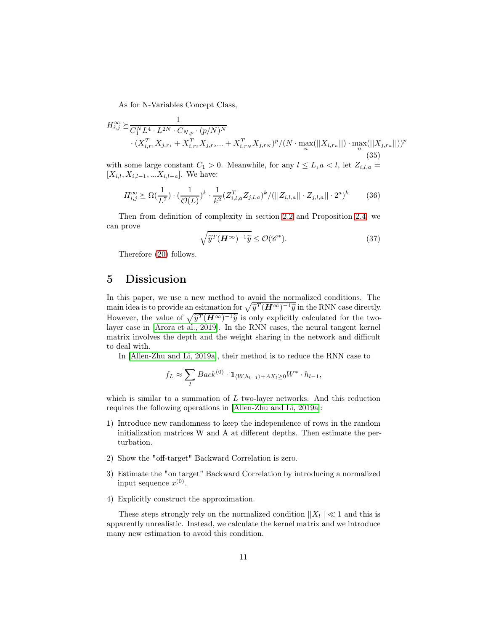As for N-Variables Concept Class,

$$
H_{i,j}^{\infty} \succeq \frac{1}{C_1^N L^4 \cdot L^{2N} \cdot C_{N,p} \cdot (p/N)^N} \cdot (X_{i,r_1}^T X_{j,r_1} + X_{i,r_2}^T X_{j,r_2} \dots + X_{i,r_N}^T X_{j,r_N})^p / (N \cdot \max_n(||X_{i,r_n}||) \cdot \max_n (||X_{j,r_n}||))^p \tag{35}
$$

with some large constant  $C_1 > 0$ . Meanwhile, for any  $l \leq L, a < l$ , let  $Z_{i,l,a} =$  $[X_{i,l}, X_{i,l-1}, ... X_{i,l-a}]$ . We have:

$$
H_{i,j}^{\infty} \succeq \Omega(\frac{1}{L^7}) \cdot (\frac{1}{\mathcal{O}(L)})^k \cdot \frac{1}{k^2} (Z_{i,l,a}^T Z_{j,l,a})^k / (||Z_{i,l,a}|| \cdot Z_{j,l,a}|| \cdot 2^a)^k \tag{36}
$$

Then from definition of complexity in section [2.2](#page-4-3) and Proposition [2.4,](#page-5-1) we can prove

$$
\sqrt{\widetilde{y}^T(\boldsymbol{H}^{\infty})^{-1}\widetilde{y}} \le \mathcal{O}(\mathscr{C}^*). \tag{37}
$$

Therefore [\(20\)](#page-7-2) follows.

## 5 Dissicusion

In this paper, we use a new method to avoid the normalized conditions. The main idea is to provide an esitmation for  $\sqrt{\tilde{y}^T (H^{\infty})^{-1} \tilde{y}}$  in the RNN case directly. However, the value of  $\sqrt{\tilde{y}^T (H^{\infty})^{-1} \tilde{y}}$  is only explicitly calculated for the twolayer case in [\[Arora et al., 2019\]](#page-14-1). In the RNN cases, the neural tangent kernel matrix involves the depth and the weight sharing in the network and difficult to deal with.

In [\[Allen-Zhu and Li, 2019a\]](#page-13-3), their method is to reduce the RNN case to

$$
f_L \approx \sum_l Back^{(0)} \cdot \mathbb{1}_{\langle W, h_{l-1}\rangle + AX_l \ge 0} W^* \cdot h_{l-1},
$$

which is similar to a summation of  $L$  two-layer networks. And this reduction requires the following operations in [\[Allen-Zhu and Li, 2019a\]](#page-13-3):

- 1) Introduce new randomness to keep the independence of rows in the random initialization matrices W and A at different depths. Then estimate the perturbation.
- 2) Show the "off-target" Backward Correlation is zero.
- 3) Estimate the "on target" Backward Correlation by introducing a normalized input sequence  $x^{(0)}$ .
- 4) Explicitly construct the approximation.

These steps strongly rely on the normalized condition  $||X_l|| \ll 1$  and this is apparently unrealistic. Instead, we calculate the kernel matrix and we introduce many new estimation to avoid this condition.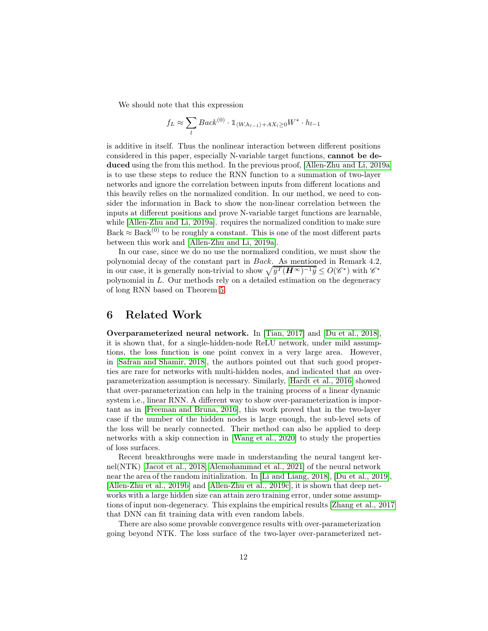We should note that this expression

$$
f_L \approx \sum_l Back^{(0)} \cdot 1_{\langle W, h_{l-1} \rangle + AX_l \ge 0} W^* \cdot h_{l-1}
$$

is additive in itself. Thus the nonlinear interaction between different positions considered in this paper, especially N-variable target functions, cannot be deduced using the from this method. In the previous proof, [\[Allen-Zhu and Li, 2019a\]](#page-13-3) is to use these steps to reduce the RNN function to a summation of two-layer networks and ignore the correlation between inputs from different locations and this heavily relies on the normalized condition. In our method, we need to consider the information in Back to show the non-linear correlation between the inputs at different positions and prove N-variable target functions are learnable, while [\[Allen-Zhu and Li, 2019a\]](#page-13-3). requires the normalized condition to make sure Back  $\approx$  Back<sup>(0)</sup> to be roughly a constant. This is one of the most different parts between this work and [\[Allen-Zhu and Li, 2019a\]](#page-13-3).

In our case, since we do no use the normalized condition, we must show the polynomial decay of the constant part in Back. As mentioned in Remark 4.2, in our case, it is generally non-trivial to show  $\sqrt{\hat{y}^T (H^{\infty})^{-1} \hat{y}} \le O(\mathscr{C}^*)$  with  $\mathscr{C}^*$ polynomial in L. Our methods rely on a detailed estimation on the degeneracy of long RNN based on Theorem [5.](#page-8-4)

## 6 Related Work

Overparameterized neural network. In [\[Tian, 2017\]](#page-16-0) and [\[Du et al., 2018\]](#page-15-1), it is shown that, for a single-hidden-node ReLU network, under mild assumptions, the loss function is one point convex in a very large area. However, in [\[Safran and Shamir, 2018\]](#page-15-2), the authors pointed out that such good properties are rare for networks with multi-hidden nodes, and indicated that an overparameterization assumption is necessary. Similarly, [\[Hardt et al., 2016\]](#page-15-3) showed that over-parameterization can help in the training process of a linear dynamic system i.e., linear RNN. A different way to show over-parameterization is important as in [\[Freeman and Bruna, 2016\]](#page-15-4), this work proved that in the two-layer case if the number of the hidden nodes is large enough, the sub-level sets of the loss will be nearly connected. Their method can also be applied to deep networks with a skip connection in [\[Wang et al., 2020\]](#page-16-1) to study the properties of loss surfaces.

Recent breakthroughs were made in understanding the neural tangent kernel(NTK) [\[Jacot et al., 2018,](#page-15-5) [Alemohammad et al., 2021\]](#page-13-4) of the neural network near the area of the random initialization. In [\[Li and Liang,](#page-15-6) 2018], [\[Du et al., 2019\]](#page-15-0), [\[Allen-Zhu et al., 2019b\]](#page-13-0) and [\[Allen-Zhu et al., 2019c\]](#page-13-2), it is shown that deep networks with a large hidden size can attain zero training error, under some assumptions of input non-degeneracy. This explains the empirical results [\[Zhang et al., 2017\]](#page-16-2) that DNN can fit training data with even random labels.

There are also some provable convergence results with over-parameterization going beyond NTK. The loss surface of the two-layer over-parameterized net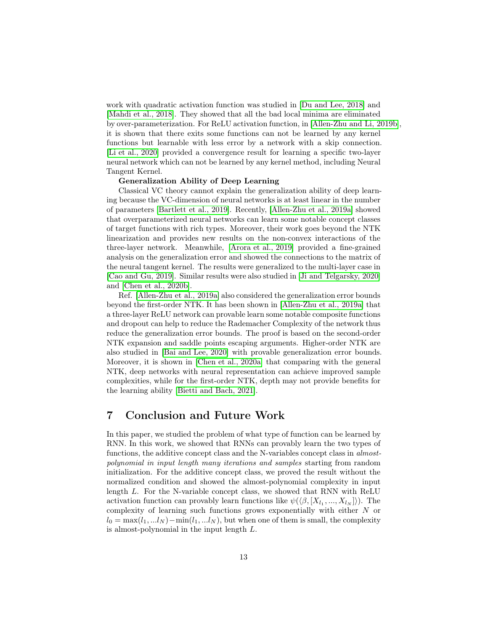work with quadratic activation function was studied in [\[Du and Lee, 2018\]](#page-14-3) and [\[Mahdi et al., 2018\]](#page-15-7). They showed that all the bad local minima are eliminated by over-parameterization. For ReLU activation function, in [\[Allen-Zhu and Li, 2019b\]](#page-13-5), it is shown that there exits some functions can not be learned by any kernel functions but learnable with less error by a network with a skip connection. [\[Li et al., 2020\]](#page-15-8) provided a convergence result for learning a specific two-layer neural network which can not be learned by any kernel method, including Neural Tangent Kernel.

#### Generalization Ability of Deep Learning

Classical VC theory cannot explain the generalization ability of deep learning because the VC-dimension of neural networks is at least linear in the number of parameters [\[Bartlett et al., 2019\]](#page-14-4). Recently, [\[Allen-Zhu et al., 2019a\]](#page-13-1) showed that overparameterized neural networks can learn some notable concept classes of target functions with rich types. Moreover, their work goes beyond the NTK linearization and provides new results on the non-convex interactions of the three-layer network. Meanwhile, [\[Arora et al., 2019\]](#page-14-1) provided a fine-grained analysis on the generalization error and showed the connections to the matrix of the neural tangent kernel. The results were generalized to the multi-layer case in [\[Cao and Gu, 2019\]](#page-14-0). Similar results were also studied in [\[Ji and Telgarsky, 2020\]](#page-15-9) and [\[Chen et al., 2020b\]](#page-14-5).

Ref. [\[Allen-Zhu et al., 2019a\]](#page-13-1) also considered the generalization error bounds beyond the first-order NTK. It has been shown in [\[Allen-Zhu et](#page-13-1) al., 2019a] that a three-layer ReLU network can provable learn some notable composite functions and dropout can help to reduce the Rademacher Complexity of the network thus reduce the generalization error bounds. The proof is based on the second-order NTK expansion and saddle points escaping arguments. Higher-order NTK are also studied in [\[Bai and Lee, 2020\]](#page-14-6) with provable generalization error bounds. Moreover, it is shown in [\[Chen et al., 2020a\]](#page-14-7) that comparing with the general NTK, deep networks with neural representation can achieve improved sample complexities, while for the first-order NTK, depth may not provide benefits for the learning ability [\[Bietti and Bach, 2021\]](#page-14-8).

## 7 Conclusion and Future Work

In this paper, we studied the problem of what type of function can be learned by RNN. In this work, we showed that RNNs can provably learn the two types of functions, the additive concept class and the N-variables concept class in almostpolynomial in input length many iterations and samples starting from random initialization. For the additive concept class, we proved the result without the normalized condition and showed the almost-polynomial complexity in input length L. For the N-variable concept class, we showed that RNN with ReLU activation function can provably learn functions like  $\psi(\langle \beta, [X_{l_1}, ..., X_{l_N}])$ . The complexity of learning such functions grows exponentially with either N or  $l_0 = \max(l_1, ... l_N) - \min(l_1, ... l_N)$ , but when one of them is small, the complexity is almost-polynomial in the input length L.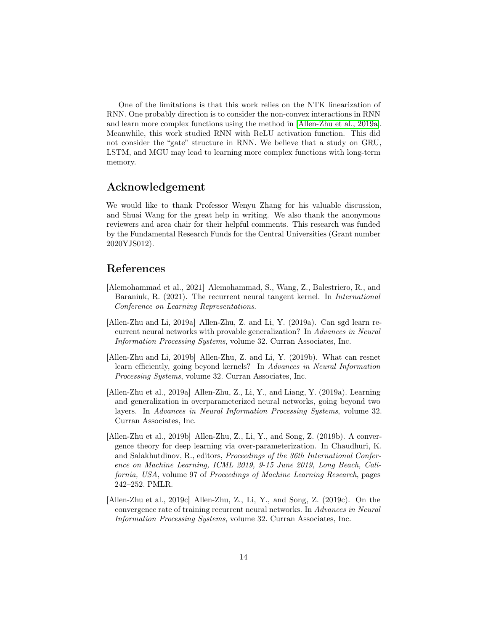One of the limitations is that this work relies on the NTK linearization of RNN. One probably direction is to consider the non-convex interactions in RNN and learn more complex functions using the method in [\[Allen-Zhu et al., 2019a\]](#page-13-1). Meanwhile, this work studied RNN with ReLU activation function. This did not consider the "gate" structure in RNN. We believe that a study on GRU, LSTM, and MGU may lead to learning more complex functions with long-term memory.

## Acknowledgement

We would like to thank Professor Wenyu Zhang for his valuable discussion, and Shuai Wang for the great help in writing. We also thank the anonymous reviewers and area chair for their helpful comments. This research was funded by the Fundamental Research Funds for the Central Universities (Grant number 2020YJS012).

## References

- <span id="page-13-4"></span>[Alemohammad et al., 2021] Alemohammad, S., Wang, Z., Balestriero, R., and Baraniuk, R. (2021). The recurrent neural tangent kernel. In International Conference on Learning Representations.
- <span id="page-13-3"></span>[Allen-Zhu and Li, 2019a] Allen-Zhu, Z. and Li, Y. (2019a). Can sgd learn recurrent neural networks with provable generalization? In Advances in Neural Information Processing Systems, volume 32. Curran Associates, Inc.
- <span id="page-13-5"></span>[Allen-Zhu and Li, 2019b] Allen-Zhu, Z. and Li, Y. (2019b). What can resnet learn efficiently, going beyond kernels? In Advances in Neural Information Processing Systems, volume 32. Curran Associates, Inc.
- <span id="page-13-1"></span>[Allen-Zhu et al., 2019a] Allen-Zhu, Z., Li, Y., and Liang, Y. (2019a). Learning and generalization in overparameterized neural networks, going beyond two layers. In Advances in Neural Information Processing Systems, volume 32. Curran Associates, Inc.
- <span id="page-13-0"></span>[Allen-Zhu et al., 2019b] Allen-Zhu, Z., Li, Y., and Song, Z. (2019b). A convergence theory for deep learning via over-parameterization. In Chaudhuri, K. and Salakhutdinov, R., editors, Proceedings of the 36th International Conference on Machine Learning, ICML 2019, 9-15 June 2019, Long Beach, California, USA, volume 97 of Proceedings of Machine Learning Research, pages 242–252. PMLR.
- <span id="page-13-2"></span>[Allen-Zhu et al., 2019c] Allen-Zhu, Z., Li, Y., and Song, Z. (2019c). On the convergence rate of training recurrent neural networks. In Advances in Neural Information Processing Systems, volume 32. Curran Associates, Inc.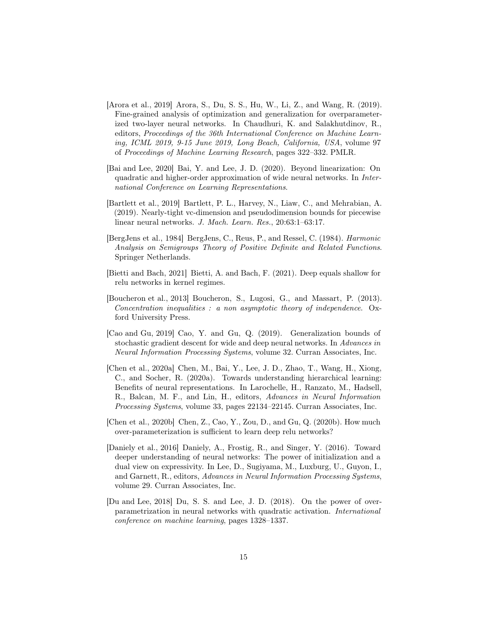- <span id="page-14-1"></span>[Arora et al., 2019] Arora, S., Du, S. S., Hu, W., Li, Z., and Wang, R. (2019). Fine-grained analysis of optimization and generalization for overparameterized two-layer neural networks. In Chaudhuri, K. and Salakhutdinov, R., editors, Proceedings of the 36th International Conference on Machine Learning, ICML 2019, 9-15 June 2019, Long Beach, California, USA, volume 97 of Proceedings of Machine Learning Research, pages 322–332. PMLR.
- <span id="page-14-6"></span>[Bai and Lee, 2020] Bai, Y. and Lee, J. D. (2020). Beyond linearization: On quadratic and higher-order approximation of wide neural networks. In International Conference on Learning Representations.
- <span id="page-14-4"></span>[Bartlett et al., 2019] Bartlett, P. L., Harvey, N., Liaw, C., and Mehrabian, A. (2019). Nearly-tight vc-dimension and pseudodimension bounds for piecewise linear neural networks. J. Mach. Learn. Res., 20:63:1–63:17.
- <span id="page-14-2"></span>[BergJens et al., 1984] BergJens, C., Reus, P., and Ressel, C. (1984). Harmonic Analysis on Semigroups Theory of Positive Definite and Related Functions. Springer Netherlands.
- <span id="page-14-8"></span>[Bietti and Bach, 2021] Bietti, A. and Bach, F. (2021). Deep equals shallow for relu networks in kernel regimes.
- <span id="page-14-9"></span>[Boucheron et al., 2013] Boucheron, S., Lugosi, G., and Massart, P. (2013). Concentration inequalities : a non asymptotic theory of independence. Oxford University Press.
- <span id="page-14-0"></span>[Cao and Gu, 2019] Cao, Y. and Gu, Q. (2019). Generalization bounds of stochastic gradient descent for wide and deep neural networks. In Advances in Neural Information Processing Systems, volume 32. Curran Associates, Inc.
- <span id="page-14-7"></span>[Chen et al., 2020a] Chen, M., Bai, Y., Lee, J. D., Zhao, T., Wang, H., Xiong, C., and Socher, R. (2020a). Towards understanding hierarchical learning: Benefits of neural representations. In Larochelle, H., Ranzato, M., Hadsell, R., Balcan, M. F., and Lin, H., editors, Advances in Neural Information Processing Systems, volume 33, pages 22134–22145. Curran Associates, Inc.
- <span id="page-14-5"></span>[Chen et al., 2020b] Chen, Z., Cao, Y., Zou, D., and Gu, Q. (2020b). How much over-parameterization is sufficient to learn deep relu networks?
- <span id="page-14-10"></span>[Daniely et al., 2016] Daniely, A., Frostig, R., and Singer, Y. (2016). Toward deeper understanding of neural networks: The power of initialization and a dual view on expressivity. In Lee, D., Sugiyama, M., Luxburg, U., Guyon, I., and Garnett, R., editors, Advances in Neural Information Processing Systems, volume 29. Curran Associates, Inc.
- <span id="page-14-3"></span>[Du and Lee, 2018] Du, S. S. and Lee, J. D. (2018). On the power of overparametrization in neural networks with quadratic activation. International conference on machine learning, pages 1328–1337.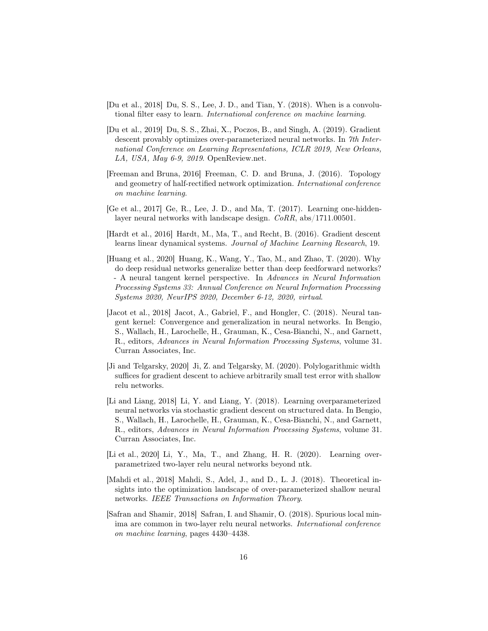- <span id="page-15-1"></span>[Du et al., 2018] Du, S. S., Lee, J. D., and Tian, Y. (2018). When is a convolutional filter easy to learn. International conference on machine learning.
- <span id="page-15-0"></span>[Du et al., 2019] Du, S. S., Zhai, X., Poczos, B., and Singh, A. (2019). Gradient descent provably optimizes over-parameterized neural networks. In 7th International Conference on Learning Representations, ICLR 2019, New Orleans, LA, USA, May 6-9, 2019. OpenReview.net.
- <span id="page-15-4"></span>[Freeman and Bruna, 2016] Freeman, C. D. and Bruna, J. (2016). Topology and geometry of half-rectified network optimization. International conference on machine learning.
- <span id="page-15-10"></span>[Ge et al., 2017] Ge, R., Lee, J. D., and Ma, T. (2017). Learning one-hiddenlayer neural networks with landscape design. CoRR, abs/1711.00501.
- <span id="page-15-3"></span>[Hardt et al., 2016] Hardt, M., Ma, T., and Recht, B. (2016). Gradient descent learns linear dynamical systems. Journal of Machine Learning Research, 19.
- <span id="page-15-11"></span>[Huang et al., 2020] Huang, K., Wang, Y., Tao, M., and Zhao, T. (2020). Why do deep residual networks generalize better than deep feedforward networks? - A neural tangent kernel perspective. In Advances in Neural Information Processing Systems 33: Annual Conference on Neural Information Processing Systems 2020, NeurIPS 2020, December 6-12, 2020, virtual.
- <span id="page-15-5"></span>[Jacot et al., 2018] Jacot, A., Gabriel, F., and Hongler, C. (2018). Neural tangent kernel: Convergence and generalization in neural networks. In Bengio, S., Wallach, H., Larochelle, H., Grauman, K., Cesa-Bianchi, N., and Garnett, R., editors, Advances in Neural Information Processing Systems, volume 31. Curran Associates, Inc.
- <span id="page-15-9"></span>[Ji and Telgarsky, 2020] Ji, Z. and Telgarsky, M. (2020). Polylogarithmic width suffices for gradient descent to achieve arbitrarily small test error with shallow relu networks.
- <span id="page-15-6"></span>[Li and Liang, 2018] Li, Y. and Liang, Y. (2018). Learning overparameterized neural networks via stochastic gradient descent on structured data. In Bengio, S., Wallach, H., Larochelle, H., Grauman, K., Cesa-Bianchi, N., and Garnett, R., editors, Advances in Neural Information Processing Systems, volume 31. Curran Associates, Inc.
- <span id="page-15-8"></span>[Li et al., 2020] Li, Y., Ma, T., and Zhang, H. R. (2020). Learning overparametrized two-layer relu neural networks beyond ntk.
- <span id="page-15-7"></span>[Mahdi et al., 2018] Mahdi, S., Adel, J., and D., L. J. (2018). Theoretical insights into the optimization landscape of over-parameterized shallow neural networks. IEEE Transactions on Information Theory.
- <span id="page-15-2"></span>[Safran and Shamir, 2018] Safran, I. and Shamir, O. (2018). Spurious local minima are common in two-layer relu neural networks. International conference on machine learning, pages 4430–4438.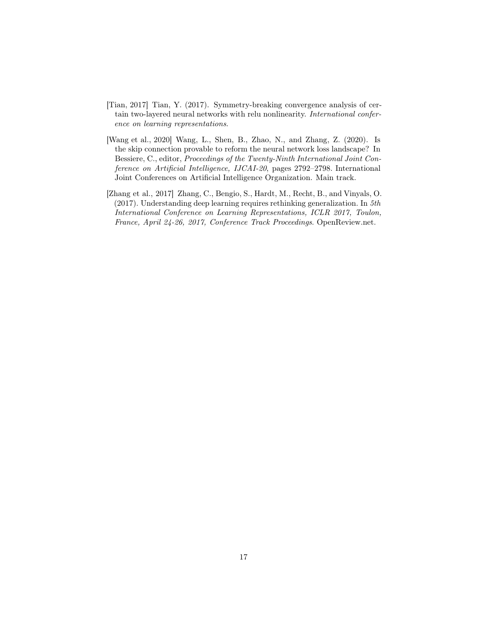- <span id="page-16-0"></span>[Tian, 2017] Tian, Y. (2017). Symmetry-breaking convergence analysis of certain two-layered neural networks with relu nonlinearity. International conference on learning representations.
- <span id="page-16-1"></span>[Wang et al., 2020] Wang, L., Shen, B., Zhao, N., and Zhang, Z. (2020). Is the skip connection provable to reform the neural network loss landscape? In Bessiere, C., editor, Proceedings of the Twenty-Ninth International Joint Conference on Artificial Intelligence, IJCAI-20, pages 2792–2798. International Joint Conferences on Artificial Intelligence Organization. Main track.
- <span id="page-16-2"></span>[Zhang et al., 2017] Zhang, C., Bengio, S., Hardt, M., Recht, B., and Vinyals, O. (2017). Understanding deep learning requires rethinking generalization. In 5th International Conference on Learning Representations, ICLR 2017, Toulon, France, April 24-26, 2017, Conference Track Proceedings. OpenReview.net.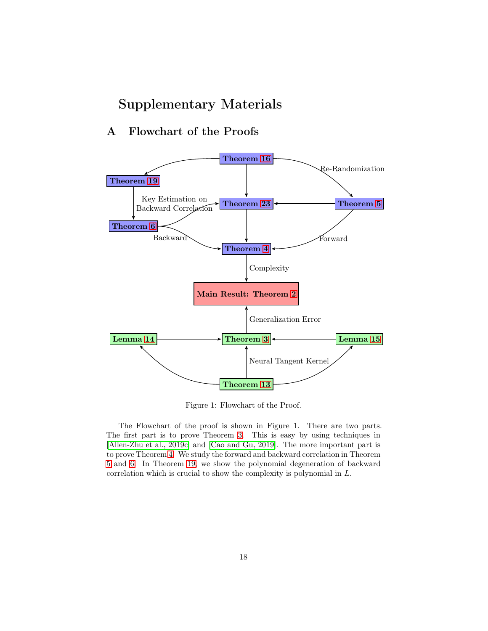# Supplementary Materials

# A Flowchart of the Proofs



Figure 1: Flowchart of the Proof.

The Flowchart of the proof is shown in Figure 1. There are two parts. The first part is to prove Theorem [3.](#page-7-0) This is easy by using techniques in [\[Allen-Zhu et al., 2019c\]](#page-13-2) and [\[Cao and Gu, 2019\]](#page-14-0). The more important part is to prove Theorem [4.](#page-7-3) We study the forward and backward correlation in Theorem [5](#page-8-4) and [6.](#page-8-1) In Theorem [19,](#page-27-0) we show the polynomial degeneration of backward correlation which is crucial to show the complexity is polynomial in L.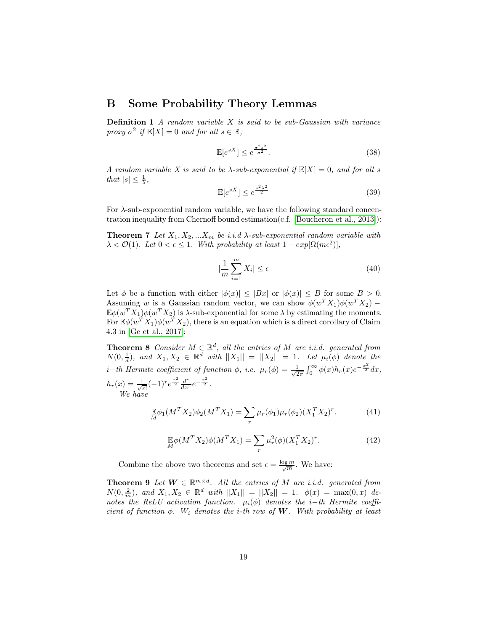## B Some Probability Theory Lemmas

**Definition 1** A random variable  $X$  is said to be sub-Gaussian with variance proxy  $\sigma^2$  if  $\mathbb{E}[X] = 0$  and for all  $s \in \mathbb{R}$ ,

$$
\mathbb{E}[e^{sX}] \le e^{\frac{\sigma^2 s^2}{\sigma^2}}.\tag{38}
$$

A random variable X is said to be  $\lambda$ -sub-exponential if  $\mathbb{E}[X] = 0$ , and for all s that  $|s| \leq \frac{1}{\lambda}$ ,

$$
\mathbb{E}[e^{sX}] \le e^{\frac{s^2\lambda^2}{2}} \tag{39}
$$

For  $\lambda$ -sub-exponential random variable, we have the following standard concentration inequality from Chernoff bound estimation(c.f. [\[Boucheron et al., 2013\]](#page-14-9)):

**Theorem 7** Let  $X_1, X_2, ... X_m$  be i.i.d  $\lambda$ -sub-exponential random variable with  $\lambda < \mathcal{O}(1)$ . Let  $0 < \epsilon \leq 1$ . With probability at least  $1 - exp[\Omega(m\epsilon^2)]$ ,

<span id="page-18-1"></span>
$$
|\frac{1}{m}\sum_{i=1}^{m}X_i|\leq\epsilon\tag{40}
$$

Let  $\phi$  be a function with either  $|\phi(x)| \leq |Bx|$  or  $|\phi(x)| \leq B$  for some  $B > 0$ . Assuming w is a Gaussian random vector, we can show  $\phi(w^T X_1) \phi(w^T X_2)$  –  $\mathbb{E}\phi(w^TX_1)\phi(w^TX_2)$  is  $\lambda$ -sub-exponential for some  $\lambda$  by estimating the moments. For  $\mathbb{E}\phi(w^T X_1)\phi(w^T X_2)$ , there is an equation which is a direct corollary of Claim 4.3 in [\[Ge et al., 2017\]](#page-15-10):

**Theorem 8** Consider  $M \in \mathbb{R}^d$ , all the entries of M are i.i.d. generated from  $N(0, \frac{1}{d})$ , and  $X_1, X_2 \in \mathbb{R}^d$  with  $||X_1|| = ||X_2|| = 1$ . Let  $\mu_i(\phi)$  denote the i−th Hermite coefficient of function  $\phi$ , i.e.  $\mu_r(\phi) = \frac{1}{\sqrt{2}}$  $\frac{1}{2\pi} \int_0^\infty \phi(x) h_r(x) e^{-\frac{x^2}{2}} dx,$  $h_r(x) = \frac{1}{\sqrt{2}}$  $\frac{1}{r!}(-1)^{r}e^{\frac{x^{2}}{2}}\frac{d^{r}}{dx^{r}}e^{-\frac{x^{2}}{2}}.$ We have

$$
\mathbb{E}\phi_1(M^T X_2)\phi_2(M^T X_1) = \sum_r \mu_r(\phi_1)\mu_r(\phi_2)(X_1^T X_2)^r. \tag{41}
$$

<span id="page-18-0"></span>
$$
\mathbb{E}\phi(M^TX_2)\phi(M^TX_1) = \sum_r \mu_r^2(\phi)(X_1^TX_2)^r.
$$
 (42)

Combine the above two theorems and set  $\epsilon = \frac{\log m}{\sqrt{m}}$ . We have:

**Theorem 9** Let  $W \in \mathbb{R}^{m \times d}$ . All the entries of M are i.i.d. generated from  $N(0, \frac{2}{m})$ , and  $X_1, X_2 \in \mathbb{R}^d$  with  $||X_1|| = ||X_2|| = 1$ .  $\phi(x) = \max(0, x)$  denotes the ReLU activation function.  $\mu_i(\phi)$  denotes the i−th Hermite coefficient of function  $\phi$ . W<sub>i</sub> denotes the *i*-th row of **W**. With probability at least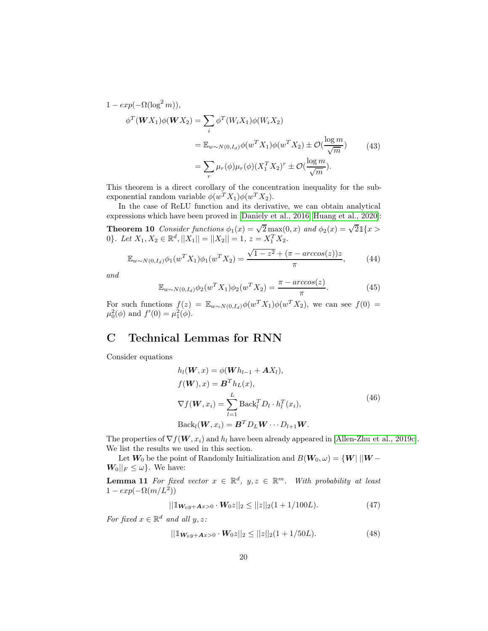$$
1 - exp(-\Omega(\log^2 m)),
$$
  
\n
$$
\phi^T(WX_1)\phi(WX_2) = \sum_i \phi^T(W_iX_1)\phi(W_iX_2)
$$
  
\n
$$
= \mathbb{E}_{w \sim N(0, I_d)}\phi(w^TX_1)\phi(w^TX_2) \pm \mathcal{O}(\frac{\log m}{\sqrt{m}})
$$
  
\n
$$
= \sum_r \mu_r(\phi)\mu_r(\phi)(X_1^TX_2)^r \pm \mathcal{O}(\frac{\log m}{\sqrt{m}}).
$$
\n(43)

This theorem is a direct corollary of the concentration inequality for the subexponential random variable  $\phi(w^T X_1) \phi(w^T X_2)$ .

In the case of ReLU function and its derivative, we can obtain analytical expressions which have been proved in [\[Daniely et al., 2016,](#page-14-10) [Huang et al., 2020\]](#page-15-11):

**Theorem 10** Consider functions  $\phi_1(x) = \sqrt{2} \max(0, x)$  and  $\phi_2(x) = \sqrt{2} \mathbb{1}\{x >$ 0}. Let  $X_1, X_2 \in \mathbb{R}^d, ||X_1|| = ||X_2|| = 1, z = X_1^T X_2.$ 

$$
\mathbb{E}_{w \sim N(0, I_d)} \phi_1(w^T X_1) \phi_1(w^T X_2) = \frac{\sqrt{1 - z^2} + (\pi - \arccos(z))z}{\pi},\tag{44}
$$

and

<span id="page-19-0"></span>
$$
\mathbb{E}_{w \sim N(0, I_d)} \phi_2(w^T X_1) \phi_2(w^T X_2) = \frac{\pi - \arccos(z)}{\pi}.
$$
\n(45)

For such functions  $f(z) = \mathbb{E}_{w \sim N(0, I_d)} \phi(w^T X_1) \phi(w^T X_2)$ , we can see  $f(0) =$  $\mu_0^2(\phi)$  and  $f'(0) = \mu_1^2(\phi)$ .

## C Technical Lemmas for RNN

Consider equations

$$
h_l(\boldsymbol{W}, x) = \phi(\boldsymbol{W}h_{l-1} + \boldsymbol{A}X_l),
$$
  
\n
$$
f(\boldsymbol{W}), x) = \boldsymbol{B}^T h_L(x),
$$
  
\n
$$
\nabla f(\boldsymbol{W}, x_i) = \sum_{l=1}^L \text{Back}_l^T D_l \cdot h_l^T(x_i),
$$
  
\n
$$
\text{Back}_l(\boldsymbol{W}, x_i) = \boldsymbol{B}^T D_L \boldsymbol{W} \cdots D_{l+1} \boldsymbol{W}.
$$
\n(46)

The properties of  $\nabla f(\boldsymbol{W}, x_i)$  and  $h_l$  have been already appeared in [\[Allen-Zhu et al., 2019c\]](#page-13-2). We list the results we used in this section.

Let  $W_0$  be the point of Randomly Initialization and  $B(W_0, \omega) = \{W \mid ||W - \omega||\}$  $\mathbf{W}_0||_F \leq \omega$ . We have:

**Lemma 11** For fixed vector  $x \in \mathbb{R}^d$ ,  $y, z \in \mathbb{R}^m$ . With probability at least  $1 - exp(-\Omega(m/L^2))$ 

<span id="page-19-1"></span>
$$
||\mathbb{1}_{\mathbf{W}_0 y + \mathbf{A} x > 0} \cdot \mathbf{W}_0 z||_2 \le ||z||_2 (1 + 1/100L). \tag{47}
$$

For fixed  $x \in \mathbb{R}^d$  and all  $y, z$ :

$$
||\mathbb{1}_{\mathbf{W}_0 y + \mathbf{A} x > 0} \cdot \mathbf{W}_0 z||_2 \le ||z||_2 (1 + 1/50L). \tag{48}
$$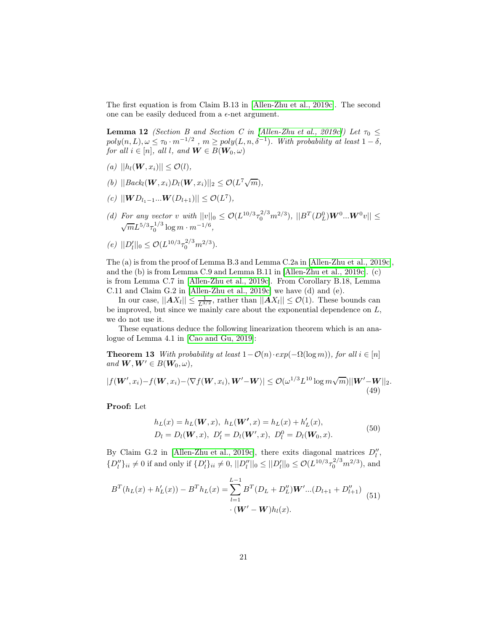<span id="page-20-1"></span>The first equation is from Claim B.13 in [\[Allen-Zhu et al., 2019c\]](#page-13-2). The second one can be easily deduced from a  $\epsilon$ -net argument.

**Lemma 12** (Section B and Section C in [\[Allen-Zhu et al., 2019c\]](#page-13-2)) Let  $\tau_0 \leq$  $poly(n, L), \omega \leq \tau_0 \cdot m^{-1/2}$ ,  $m \geq poly(L, n, \delta^{-1})$ . With probability at least  $1 - \delta$ , for all  $i \in [n]$ , all l, and  $\mathbf{W} \in B(\mathbf{W}_0, \omega)$ 

- (a)  $||h_l(\boldsymbol{W}, x_i)|| \leq \mathcal{O}(l),$
- (b)  $|| \textit{Back}_l(\boldsymbol{W}, x_i) D_l(\boldsymbol{W}, x_i) ||_2 \leq \mathcal{O}(L^7 \sqrt{m}),$
- (c)  $||\mathbf{W}D_{l_1-1}... \mathbf{W}(D_{l+1})|| \leq \mathcal{O}(L^7),$
- (d) For any vector v with  $||v||_0 \leq \mathcal{O}(L^{10/3} \tau_0^{2/3} m^{2/3}), ||B^T(D_L^0)W^0...W^0v|| \leq$  $\sqrt{m}L^{5/3}\tau_0^{1/3}\log m\cdot m^{-1/6},$
- (e)  $||D'_l||_0 \leq \mathcal{O}(L^{10/3} \tau_0^{2/3} m^{2/3}).$

The (a) is from the proof of Lemma B.3 and Lemma C.2a in [\[Allen-Zhu et al., 2019c\]](#page-13-2), and the (b) is from Lemma C.9 and Lemma B.11 in [\[Allen-Zhu et al., 2019c\]](#page-13-2). (c) is from Lemma C.7 in [\[Allen-Zhu et al., 2019c\]](#page-13-2). From Corollary B.18, Lemma C.11 and Claim G.2 in [\[Allen-Zhu et al., 2019c\]](#page-13-2) we have (d) and (e).

In our case,  $||AX_l|| \leq \frac{1}{L^{3/2}}$ , rather than  $||AX_l|| \leq \mathcal{O}(1)$ . These bounds can be improved, but since we mainly care about the exponential dependence on L, we do not use it.

These equations deduce the following linearization theorem which is an analogue of Lemma 4.1 in [\[Cao and Gu, 2019\]](#page-14-0):

**Theorem 13** With probability at least  $1 - \mathcal{O}(n) \cdot exp(-\Omega(\log m))$ , for all  $i \in [n]$ and  $W, W' \in B(W_0, \omega)$ ,

$$
|f(\boldsymbol{W}',x_i)-f(\boldsymbol{W},x_i)-\langle \nabla f(\boldsymbol{W},x_i),\boldsymbol{W}'-\boldsymbol{W}\rangle| \leq \mathcal{O}(\omega^{1/3}L^{10}\log m\sqrt{m})||\boldsymbol{W}'-\boldsymbol{W}||_2.
$$
\n(49)

Proof: Let

<span id="page-20-0"></span>
$$
h_L(x) = h_L(\mathbf{W}, x), \ h_L(\mathbf{W}', x) = h_L(x) + h'_L(x),
$$
  
\n
$$
D_l = D_l(\mathbf{W}, x), \ D'_l = D_l(\mathbf{W}', x), \ D_l^0 = D_l(\mathbf{W}_0, x).
$$
\n(50)

By Claim G.2 in [\[Allen-Zhu et al., 2019c\]](#page-13-2), there exits diagonal matrices  $D_l''$ ,  $\{D''_l\}_{ii} \neq 0$  if and only if  $\{D'_l\}_{ii} \neq 0$ ,  $||D''_l||_0 \leq ||D'_l||_0 \leq \mathcal{O}(L^{10/3} \tau_0^{2/3} m^{2/3})$ , and

$$
B^{T}(h_{L}(x) + h'_{L}(x)) - B^{T}h_{L}(x) = \sum_{l=1}^{L-1} B^{T}(D_{L} + D''_{L})W'...(D_{l+1} + D''_{l+1})
$$
  
 
$$
\cdot (W' - W)h_{l}(x).
$$
 (51)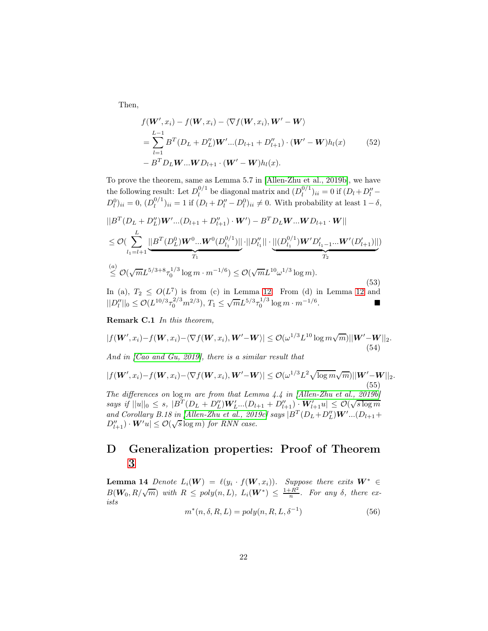Then,

$$
f(\mathbf{W}', x_i) - f(\mathbf{W}, x_i) - \langle \nabla f(\mathbf{W}, x_i), \mathbf{W}' - \mathbf{W} \rangle
$$
  
=  $\sum_{l=1}^{L-1} B^T (D_L + D'_L) \mathbf{W}' \dots (D_{l+1} + D''_{l+1}) \cdot (\mathbf{W}' - \mathbf{W}) h_l(x)$  (52)  
-  $B^T D_L \mathbf{W} \dots \mathbf{W} D_{l+1} \cdot (\mathbf{W}' - \mathbf{W}) h_l(x).$ 

To prove the theorem, same as Lemma 5.7 in [\[Allen-Zhu et al., 2019b\]](#page-13-0), we have the following result: Let  $D_l^{0/1}$  $\mu_l^{0/1}$  be diagonal matrix and  $(D_l^{0/1})$  $\binom{0}{l}$  ii = 0 if  $(D_l + D_l'' D_l^0)_{ii} = 0, (D_l^{0/1})$  $\binom{0}{l}$ <sub>ii</sub> = 1 if  $(D_l + D_l'' - D_l^0)$ <sub>ii</sub>  $\neq$  0. With probability at least 1 –  $\delta$ ,

$$
||BT(DL + D''L)W'...(Dl+1 + D''l+1) \cdot W') – BTDLW...WDl+1 \cdot W||
$$
  
\n
$$
\leq \mathcal{O}(\sum_{l_1=l+1}^{L} \underbrace{||BT(DL0)W0...W0(Dl_10/1)|| \cdot ||D''l_1|| \cdot \underbrace{||(Dl_10/1)W'D'l_1-1...W'(D'l+1)||)}_{T_2}
$$
  
\n
$$
\leq \mathcal{O}(\sqrt{m}L5/3+8\tau_0^{1/3} \log m \cdot m^{-1/6}) \leq \mathcal{O}(\sqrt{m}L10\omega1/3 \log m).
$$
 (53)

In (a),  $T_2 \leq O(L^7)$  is from (c) in Lemma [12.](#page-20-1) From (d) in Lemma [12](#page-20-1) and  $||D_l''||_0 \leq \mathcal{O}(L^{10/3} \tau_0^{2/3} m^{2/3}), T_1 \leq \sqrt{m} L^{5/3} \tau_0^{1/3} \log m \cdot m^{-1/6}.$ 

Remark C.1 In this theorem,

$$
|f(\mathbf{W}', x_i) - f(\mathbf{W}, x_i) - \langle \nabla f(\mathbf{W}, x_i), \mathbf{W}' - \mathbf{W} \rangle| \leq \mathcal{O}(\omega^{1/3} L^{10} \log m \sqrt{m}) ||\mathbf{W}' - \mathbf{W}||_2.
$$
\n(54)

And in [\[Cao and Gu, 2019\]](#page-14-0), there is a similar result that

$$
|f(\mathbf{W}', x_i) - f(\mathbf{W}, x_i) - \langle \nabla f(\mathbf{W}, x_i), \mathbf{W}' - \mathbf{W} \rangle| \leq \mathcal{O}(\omega^{1/3} L^2 \sqrt{\log m} \sqrt{m}) ||\mathbf{W}' - \mathbf{W}||_2.
$$
\n(55)  
\nThe differences on log m are from that Lemma 4.4 in [Allen-Zhu et al., 2019b]  
\nsays if  $||u||_0 \leq s$ ,  $|B^T(D_L + D_L'')\mathbf{W}'_{L}...(D_{l+1} + D_{l+1}'') \cdot \mathbf{W}'_{l+1}u| \leq \mathcal{O}(\sqrt{s \log m})$ 

and Corollary B.18 in [\[Allen-Zhu et al., 2019c\]](#page-13-2) says  $|B^T(D_L+D''_L)W'...(D_{l+1}+D''_L)W'...$  $D''_{l+1}$ ) ·  $W'u$   $\leq \mathcal{O}(\sqrt{s}\log m)$  for RNN case.

# D Generalization properties: Proof of Theorem [3](#page-7-0)

<span id="page-21-0"></span>**Lemma 14** Denote  $L_i(\mathbf{W}) = \ell(y_i \cdot f(\mathbf{W}, x_i))$ . Suppose there exits  $\mathbf{W}^* \in$  $B(\mathbf{W}_0, R/\sqrt{m})$  with  $R \leq poly(n, L), L_i(\mathbf{W}^*) \leq \frac{1+R^2}{n}$  $\frac{E}{n}$ . For any  $\delta$ , there exists

$$
m^*(n, \delta, R, L) = poly(n, R, L, \delta^{-1})
$$
\n(56)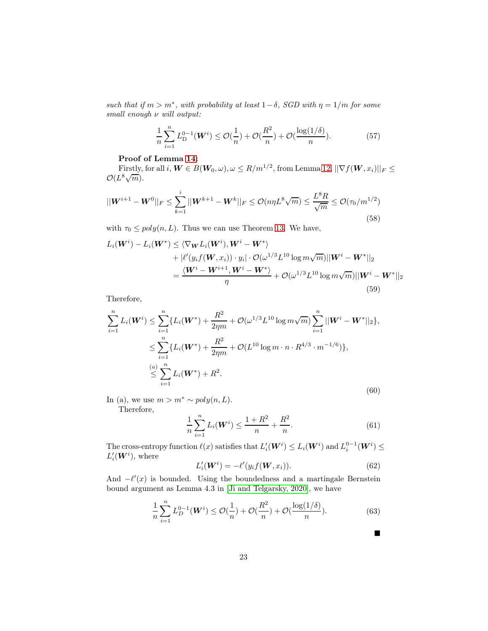such that if  $m > m^*$ , with probability at least  $1 - \delta$ , SGD with  $\eta = 1/m$  for some small enough ν will output:

$$
\frac{1}{n}\sum_{i=1}^{n} L_{\mathcal{D}}^{0-1}(\boldsymbol{W}^{i}) \le \mathcal{O}(\frac{1}{n}) + \mathcal{O}(\frac{R^{2}}{n}) + \mathcal{O}(\frac{\log(1/\delta)}{n}).
$$
\n(57)

### Proof of Lemma [14:](#page-21-0)

Firstly, for all  $i, \mathbf{W} \in B(\mathbf{W}_0, \omega), \omega \leq R/m^{1/2}$ , from Lemma [12,](#page-20-1)  $||\nabla f(\mathbf{W}, x_i)||_F \leq$  $\mathcal{O}(L^8\sqrt{m}).$ 

$$
||\boldsymbol{W}^{i+1} - \boldsymbol{W}^{0}||_{F} \leq \sum_{k=1}^{i} ||\boldsymbol{W}^{k+1} - \boldsymbol{W}^{k}||_{F} \leq \mathcal{O}(n\eta L^{8} \sqrt{m}) \leq \frac{L^{8} R}{\sqrt{m}} \leq \mathcal{O}(\tau_{0}/m^{1/2})
$$
\n(58)

with  $\tau_0 \leq poly(n, L)$ . Thus we can use Theorem [13.](#page-20-0) We have,

$$
L_i(\boldsymbol{W}^i) - L_i(\boldsymbol{W}^*) \leq \langle \nabla_{\boldsymbol{W}} L_i(\boldsymbol{W}^i), \boldsymbol{W}^i - \boldsymbol{W}^* \rangle
$$
  
+ 
$$
|\ell'(y_i f(\boldsymbol{W}, x_i)) \cdot y_i| \cdot \mathcal{O}(\omega^{1/3} L^{10} \log m \sqrt{m}) ||\boldsymbol{W}^i - \boldsymbol{W}^*||_2
$$
  
= 
$$
\frac{\langle \boldsymbol{W}^i - \boldsymbol{W}^{i+1}, \boldsymbol{W}^i - \boldsymbol{W}^* \rangle}{\eta} + \mathcal{O}(\omega^{1/3} L^{10} \log m \sqrt{m}) ||\boldsymbol{W}^i - \boldsymbol{W}^*||_2
$$
  
(59)

Therefore,

$$
\sum_{i=1}^{n} L_i(\boldsymbol{W}^i) \leq \sum_{i=1}^{n} \{L_i(\boldsymbol{W}^*) + \frac{R^2}{2\eta m} + \mathcal{O}(\omega^{1/3} L^{10} \log m \sqrt{m}) \sum_{i=1}^{n} ||\boldsymbol{W}^i - \boldsymbol{W}^*||_2\},
$$
  

$$
\leq \sum_{i=1}^{n} \{L_i(\boldsymbol{W}^*) + \frac{R^2}{2\eta m} + \mathcal{O}(L^{10} \log m \cdot n \cdot R^{4/3} \cdot m^{-1/6})\},
$$
  

$$
\leq \sum_{i=1}^{n} L_i(\boldsymbol{W}^*) + R^2.
$$
 (60)

In (a), we use  $m > m^* \sim poly(n, L)$ .

Therefore,

$$
\frac{1}{n}\sum_{i=1}^{n}L_{i}(\boldsymbol{W}^{i}) \leq \frac{1+R^{2}}{n} + \frac{R^{2}}{n}.
$$
\n(61)

The cross-entropy function  $\ell(x)$  satisfies that  $L'_i(\mathbf{W}^i) \leq L_i(\mathbf{W}^i)$  and  $L_i^{0-1}(\mathbf{W}^i) \leq$  $L_i'(\boldsymbol{W}^i)$ , where

$$
L'_{i}(\boldsymbol{W}^{i}) = -\ell'(y_{i}f(\boldsymbol{W}, x_{i})).
$$
\n(62)

 $\blacksquare$ 

And  $-\ell'(x)$  is bounded. Using the boundedness and a martingale Bernstein bound argument as Lemma 4.3 in [\[Ji and Telgarsky, 2020\]](#page-15-9), we have

$$
\frac{1}{n}\sum_{i=1}^{n} L_D^{0-1}(\boldsymbol{W}^i) \le \mathcal{O}(\frac{1}{n}) + \mathcal{O}(\frac{R^2}{n}) + \mathcal{O}(\frac{\log(1/\delta)}{n}).\tag{63}
$$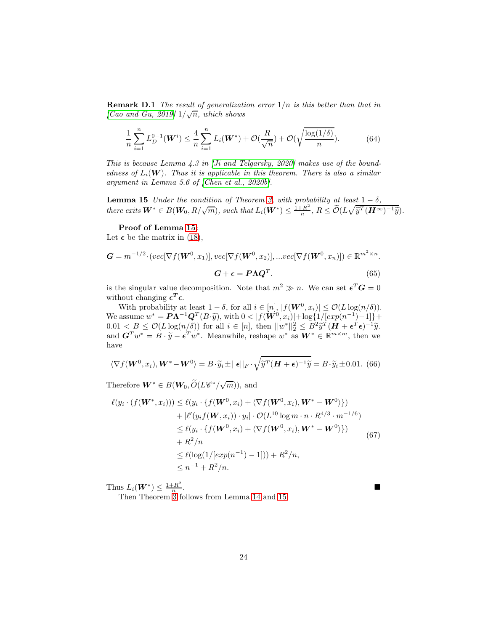**Remark D.1** The result of generalization error  $1/n$  is this better than that in [\[Cao and Gu, 2019\]](#page-14-0)  $1/\sqrt{n}$ , which shows

$$
\frac{1}{n}\sum_{i=1}^{n} L_D^{0-1}(\boldsymbol{W}^i) \le \frac{4}{n}\sum_{i=1}^{n} L_i(\boldsymbol{W}^*) + \mathcal{O}(\frac{R}{\sqrt{n}}) + \mathcal{O}(\sqrt{\frac{\log(1/\delta)}{n}}). \tag{64}
$$

This is because Lemma 4.3 in [\[Ji and Telgarsky, 2020\]](#page-15-9) makes use of the boundedness of  $L_i(\mathbf{W})$ . Thus it is applicable in this theorem. There is also a similar argument in Lemma 5.6 of [\[Chen et al., 2020b\]](#page-14-5).

<span id="page-23-0"></span>**Lemma 15** Under the condition of Theorem [3,](#page-7-0) with probability at least  $1 - \delta$ , there exits  $W^* \in B(W_0, R/\sqrt{m})$ , such that  $L_i(W^*) \leq \frac{1+R^2}{n}$  $\frac{-R^2}{n}, R \leq \widetilde{\mathcal{O}}(L\sqrt{\widetilde{y}^T(\boldsymbol{H}^{\infty})^{-1}\widetilde{y}}).$ 

### <span id="page-23-1"></span>Proof of Lemma [15:](#page-23-0)

Let  $\epsilon$  be the matrix in [\(18\)](#page-7-1),

$$
G = m^{-1/2} \cdot (vec[\nabla f(\mathbf{W}^0, x_1)], vec[\nabla f(\mathbf{W}^0, x_2)], \dots vec[\nabla f(\mathbf{W}^0, x_n)]) \in \mathbb{R}^{m^2 \times n}.
$$
  
\n
$$
G + \epsilon = P \Lambda Q^T.
$$
\n(65)

is the singular value decomposition. Note that  $m^2 \gg n$ . We can set  $\epsilon^T G = 0$ without changing  $\epsilon^T \epsilon$ .

With probability at least  $1 - \delta$ , for all  $i \in [n]$ ,  $|f(\mathbf{W}^0, x_i)| \leq \mathcal{O}(L \log(n/\delta)).$ We assume  $w^* = P\Lambda^{-1}Q^T(B\cdot \tilde{y})$ , with  $0 < |f(\tilde{W}^0, x_i)| + \log\{1/[exp(n^{-1})-1]\} +$  $0.01 < B \leq \mathcal{O}(L \log(n/\delta))$  for all  $i \in [n]$ , then  $||w^*||_2^2 \leq B^2 \widetilde{y}^T (H + \epsilon^T \epsilon)^{-1} \widetilde{y}$ .<br>and  $G^T w^* = B \cdot \widetilde{y} - \epsilon^T w^*$ . Meanwhile, reshape  $w^*$  as  $W^* \in \mathbb{R}^{m \times m}$ , then we have

$$
\langle \nabla f(\boldsymbol{W}^0, x_i), \boldsymbol{W}^* - \boldsymbol{W}^0 \rangle = B \cdot \widetilde{y}_i \pm ||\boldsymbol{\epsilon}||_F \cdot \sqrt{\widetilde{y}^T (\boldsymbol{H} + \boldsymbol{\epsilon})^{-1} \widetilde{y}} = B \cdot \widetilde{y}_i \pm 0.01. \tag{66}
$$

Therefore  $\boldsymbol{W}^* \in B(\boldsymbol{W}_0, \widetilde{O}(L\mathscr{C}^*/\sqrt{m})),$  and

$$
\ell(y_i \cdot (f(\mathbf{W}^*, x_i))) \leq \ell(y_i \cdot \{f(\mathbf{W}^0, x_i) + \langle \nabla f(\mathbf{W}^0, x_i), \mathbf{W}^* - \mathbf{W}^0 \} )\}
$$
  
+  $|\ell'(y_i f(\mathbf{W}, x_i)) \cdot y_i| \cdot \mathcal{O}(L^{10} \log m \cdot n \cdot R^{4/3} \cdot m^{-1/6})$   
 $\leq \ell(y_i \cdot \{f(\mathbf{W}^0, x_i) + \langle \nabla f(\mathbf{W}^0, x_i), \mathbf{W}^* - \mathbf{W}^0 \} \} )$   
+  $R^2/n$   
 $\leq \ell(\log(1/[\exp(n^{-1}) - 1])) + R^2/n,$   
 $\leq n^{-1} + R^2/n.$  (67)

Thus  $L_i(\boldsymbol{W}^*) \leq \frac{1+R^2}{n}$  $\frac{1}{n}$ . Then Theorem [3](#page-7-0) follows from Lemma [14](#page-21-0) and [15.](#page-23-0)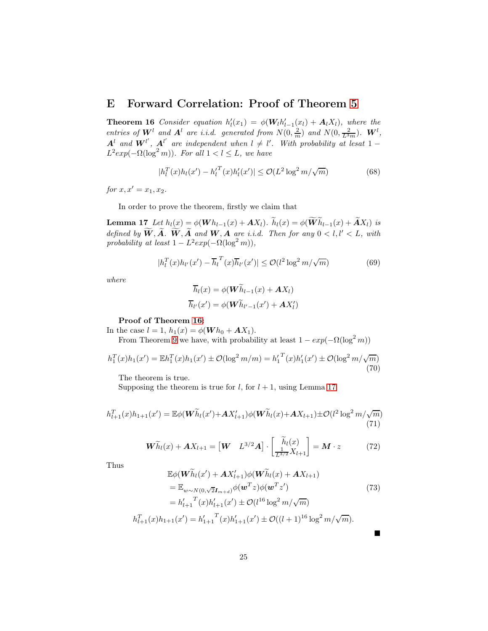## <span id="page-24-0"></span>E Forward Correlation: Proof of Theorem [5](#page-8-4)

**Theorem 16** Consider equation  $h'_l(x_1) = \phi(\mathbf{W}_l h'_{l-1}(x_l) + \mathbf{A}_l X_l)$ , where the **Theorem To** Consider equation  $n_1(x_1) = \varphi(\mathbf{W}u_1_{-1}(x_1) + \mathbf{A}(X_1))$ , where the entries of  $\mathbf{W}^l$  and  $\mathbf{A}^l$  are i.i.d. generated from  $N(0, \frac{2}{m})$  and  $N(0, \frac{2}{L^3m})$ .  $\mathbf{W}^l$ ,  $\mathbf{A}^l$  and  $\mathbf{W}^{l'}$ ,  $\mathbf{A}^{l'}$  are independent when  $l \neq l'$ . With probability at lesat  $1-\frac{1}{2}$  $L^2 exp(-\Omega(\log^2 m))$ . For all  $1 < l \leq L$ , we have

$$
|h_l^T(x)h_l(x') - h_l^T(x)h_l'(x')| \le \mathcal{O}(L^2 \log^2 m/\sqrt{m})
$$
\n(68)

for  $x, x' = x_1, x_2$ .

In order to prove the theorem, firstly we claim that

**Lemma 17** Let  $h_l(x) = \phi(\boldsymbol{W} h_{l-1}(x) + \boldsymbol{A} X_l)$ .  $\widetilde{h}_l(x) = \phi(\widetilde{\boldsymbol{W}} \widetilde{h}_{l-1}(x) + \widetilde{\boldsymbol{A}} X_l)$  is defined by  $\widetilde{W}, \widetilde{A}$ .  $\widetilde{W}, \widetilde{A}$  and  $W, A$  are i.i.d. Then for any  $0 < l, l' < L$ , with probability at least  $1 - L^2 exp(-\Omega(\log^2 m))$ ,

$$
|h_l^T(x)h_{l'}(x') - \overline{h}_l^T(x)\overline{h}_{l'}(x')| \le \mathcal{O}(l^2 \log^2 m/\sqrt{m})\tag{69}
$$

where

<span id="page-24-1"></span>
$$
\overline{h}_l(x) = \phi(\boldsymbol{W}\widetilde{h}_{l-1}(x) + \boldsymbol{A}X_l)
$$

$$
\overline{h}_{l'}(x') = \phi(\boldsymbol{W}\widetilde{h}_{l'-1}(x') + \boldsymbol{A}X_l')
$$

### Proof of Theorem [16:](#page-24-0)

In the case  $l = 1$ ,  $h_1(x) = \phi(Wh_0 + AX_1)$ . From Theorem [9](#page-18-0) we have, with probability at least  $1 - exp(-\Omega(\log^2 m))$ 

$$
h_1^T(x)h_1(x') = \mathbb{E}h_1^T(x)h_1(x') \pm \mathcal{O}(\log^2 m/m) = h_1^T(x)h_1'(x') \pm \mathcal{O}(\log^2 m/\sqrt{m})
$$
\n(70)

The theorem is true.

Supposing the theorem is true for  $l$ , for  $l + 1$ , using Lemma [17](#page-24-1)

$$
h_{l+1}^{T}(x)h_{1+1}(x') = \mathbb{E}\phi(\mathbf{W}\widetilde{h}_{l}(x') + \mathbf{A}X'_{l+1})\phi(\mathbf{W}\widetilde{h}_{l}(x) + \mathbf{A}X_{l+1}) \pm \mathcal{O}(l^{2}\log^{2}m/\sqrt{m})
$$
\n(71)

$$
\widetilde{\boldsymbol{W}}\widetilde{h}_{l}(x)+\boldsymbol{A}X_{l+1}=\begin{bmatrix}\boldsymbol{W} & L^{3/2}\boldsymbol{A}\end{bmatrix}\cdot\begin{bmatrix}\widetilde{h}_{l}(x) \\ \frac{1}{L^{3/2}}X_{l+1}\end{bmatrix}=\boldsymbol{M}\cdot z
$$
 (72)

Thus

$$
\mathbb{E}\phi(\mathbf{W}\widetilde{h}_{l}(x') + \mathbf{A}X'_{l+1})\phi(\mathbf{W}\widetilde{h}_{l}(x) + \mathbf{A}X_{l+1})
$$
\n
$$
= \mathbb{E}_{w \sim N(0,\sqrt{2}I_{m+d})}\phi(\mathbf{w}^{T}z)\phi(\mathbf{w}^{T}z') \tag{73}
$$
\n
$$
= h'_{l+1}^{T}(x)h'_{l+1}(x') \pm \mathcal{O}(l^{16}\log^{2}m/\sqrt{m})
$$
\n
$$
h_{l+1}^{T}(x)h_{1+1}(x') = h'_{1+1}^{T}(x)h'_{1+1}(x') \pm \mathcal{O}((l+1)^{16}\log^{2}m/\sqrt{m}).
$$

▬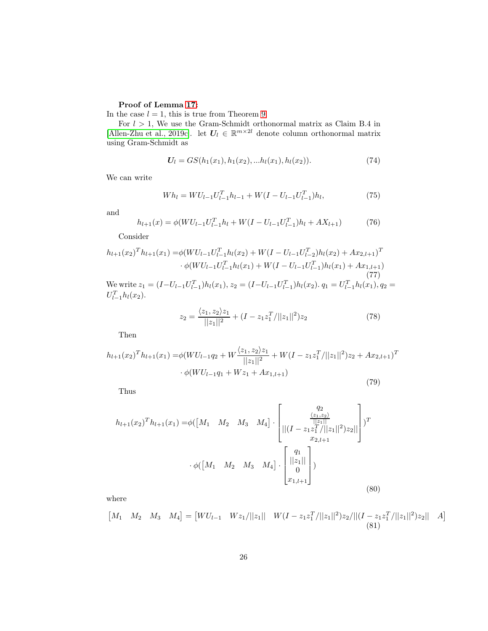## Proof of Lemma [17:](#page-24-1)

In the case  $l = 1$ , this is true from Theorem [9.](#page-18-0)

For  $l > 1$ , We use the Gram-Schmidt orthonormal matrix as Claim B.4 in [\[Allen-Zhu et al., 2019c\]](#page-13-2). let  $U_l \in \mathbb{R}^{m \times 2l}$  denote column orthonormal matrix using Gram-Schmidt as

$$
U_l = GS(h_1(x_1), h_1(x_2), \dots h_l(x_1), h_l(x_2)).
$$
\n(74)

We can write

$$
Wh_l = W U_{l-1} U_{l-1}^T h_{l-1} + W(I - U_{l-1} U_{l-1}^T) h_l,
$$
\n(75)

and

$$
h_{l+1}(x) = \phi(WU_{l-1}U_{l-1}^T h_l + W(I - U_{l-1}U_{l-1}^T)h_l + AX_{l+1})
$$
\n(76)

Consider

$$
h_{l+1}(x_2)^T h_{l+1}(x_1) = \phi(WU_{l-1}U_{l-1}^T h_l(x_2) + W(I - U_{l-1}U_{l-2}^T)h_l(x_2) + Ax_{2,l+1})^T
$$
  
\n
$$
\cdot \phi(WU_{l-1}U_{l-1}^T h_l(x_1) + W(I - U_{l-1}U_{l-1}^T)h_l(x_1) + Ax_{1,l+1})
$$
  
\nWe write  $z_1 = (I - U_{l-1}U_{l-1}^T)h_l(x_1), z_2 = (I - U_{l-1}U_{l-1}^T)h_l(x_2), q_1 = U_{l-1}^T h_l(x_1), q_2 =$ 

 $l-1$  $U_{l-1}^T h_l(x_2)$ .

$$
z_2 = \frac{\langle z_1, z_2 \rangle z_1}{||z_1||^2} + (I - z_1 z_1^T / ||z_1||^2) z_2 \tag{78}
$$

Then

$$
h_{l+1}(x_2)^T h_{l+1}(x_1) = \phi(WU_{l-1}q_2 + W\frac{\langle z_1, z_2 \rangle z_1}{||z_1||^2} + W(I - z_1 z_1^T/||z_1||^2)z_2 + Ax_{2,l+1})^T
$$
  
 
$$
\cdot \phi(WU_{l-1}q_1 + Wz_1 + Ax_{1,l+1})
$$
 (79)

Thus

$$
h_{l+1}(x_2)^T h_{l+1}(x_1) = \phi([M_1 \quad M_2 \quad M_3 \quad M_4] \cdot \begin{bmatrix} q_2 \\ \frac{\langle z_1, z_2 \rangle}{||z_1||} \\ ||(I - z_1 z_1^T / ||z_1||^2) z_2|| \\ x_{2,l+1} \end{bmatrix})^T
$$

$$
\cdot \phi([M_1 \quad M_2 \quad M_3 \quad M_4] \cdot \begin{bmatrix} q_1 \\ ||z_1|| \\ 0 \\ x_{1,l+1} \end{bmatrix})
$$
(80)

where

$$
\begin{bmatrix} M_1 & M_2 & M_3 & M_4 \end{bmatrix} = \begin{bmatrix} WU_{l-1} & Wz_1/||z_1|| & W(I - z_1 z_1^T/||z_1||^2)z_2/||(I - z_1 z_1^T/||z_1||^2)z_2|| & A \end{bmatrix}
$$
(81)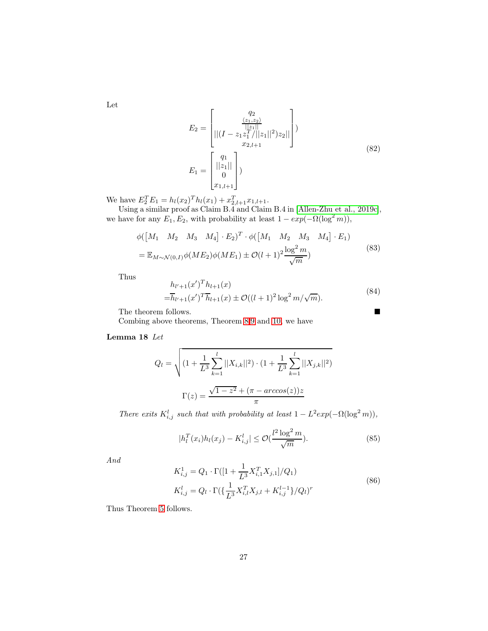Let

$$
E_2 = \begin{bmatrix} q_2 \\ \frac{\langle z_1, z_2 \rangle}{\|z_1\|} \\ \left\| (I - z_1 z_1^T / \|z_1\|^2) z_2 \right\| \\ x_2_{l+1} \end{bmatrix}
$$
  
\n
$$
E_1 = \begin{bmatrix} q_1 \\ \frac{\|z_1\|}{0} \\ x_1_{l+1} \end{bmatrix}
$$
 (82)

We have  $E_2^T E_1 = h_l(x_2)^T h_l(x_1) + x_{2,l+1}^T x_{1,l+1}.$ 

Using a similar proof as Claim B.4 and Claim B.4 in [Allen-Zhu [et al., 2019c\]](#page-13-2), we have for any  $E_1, E_2$ , with probability at least  $1 - exp(-\Omega(\log^2 m))$ ,

$$
\phi([M_1 \quad M_2 \quad M_3 \quad M_4] \cdot E_2)^T \cdot \phi([M_1 \quad M_2 \quad M_3 \quad M_4] \cdot E_1)
$$
  
=  $\mathbb{E}_{M \sim \mathcal{N}(0,I)} \phi(ME_2) \phi(ME_1) \pm \mathcal{O}(l+1)^2 \frac{\log^2 m}{\sqrt{m}})$  (83)

Thus

<span id="page-26-0"></span>
$$
h_{l'+1}(x')^{T}h_{l+1}(x)
$$
  
= $\overline{h}_{l'+1}(x')^{T}\overline{h}_{l+1}(x) \pm \mathcal{O}((l+1)^{2}\log^{2}m/\sqrt{m}).$  (84)

The theorem follows.

Combing above theorems, Theorem [8,](#page-18-1)[9](#page-18-0) and [10,](#page-19-0) we have

### Lemma 18 Let

$$
Q_l = \sqrt{\left(1 + \frac{1}{L^3} \sum_{k=1}^l ||X_{i,k}||^2\right) \cdot \left(1 + \frac{1}{L^3} \sum_{k=1}^l ||X_{j,k}||^2\right)}
$$

$$
\Gamma(z) = \frac{\sqrt{1 - z^2} + (\pi - \arccos(z))z}{\pi}
$$

There exits  $K_{i,j}^l$  such that with probability at least  $1 - L^2 exp(-\Omega(\log^2 m))$ ,

$$
|h_l^T(x_i)h_l(x_j) - K_{i,j}^l| \le \mathcal{O}(\frac{l^2 \log^2 m}{\sqrt{m}}). \tag{85}
$$

And

$$
K_{i,j}^{1} = Q_1 \cdot \Gamma([1 + \frac{1}{L^3} X_{i,1}^T X_{j,1}]/Q_1)
$$
  
\n
$$
K_{i,j}^{l} = Q_l \cdot \Gamma(\{\frac{1}{L^3} X_{i,l}^T X_{j,l} + K_{i,j}^{l-1}\}/Q_l)^r
$$
\n(86)

Thus Theorem [5](#page-8-4) follows.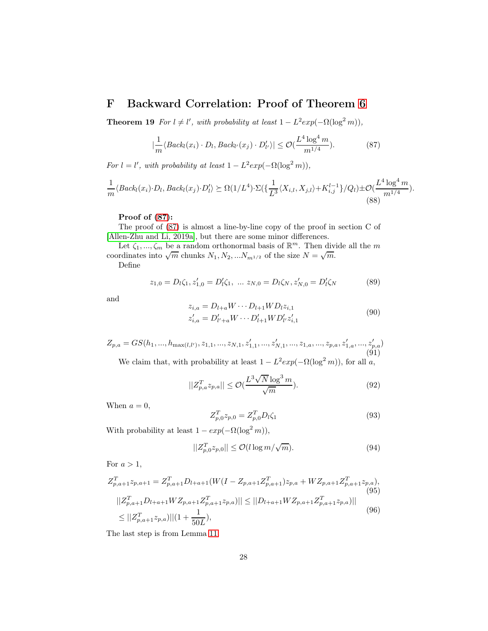## <span id="page-27-0"></span>F Backward Correlation: Proof of Theorem [6](#page-8-1)

**Theorem 19** For  $l \neq l'$ , with probability at least  $1 - L^2 exp(-\Omega(\log^2 m))$ ,

<span id="page-27-1"></span>
$$
\left|\frac{1}{m}\langle Back_l(x_i) \cdot D_l, Back_{l'}(x_j) \cdot D'_{l'} \rangle\right| \le \mathcal{O}(\frac{L^4 \log^4 m}{m^{1/4}}). \tag{87}
$$

For  $l = l'$ , with probability at least  $1 - L^2 exp(-\Omega(\log^2 m))$ ,

<span id="page-27-2"></span>
$$
\frac{1}{m}\langle Back_l(x_i)\cdot D_l, Back_l(x_j)\cdot D'_l\rangle \succeq \Omega(1/L^4)\cdot \Sigma(\{\frac{1}{L^3}\langle X_{i,l}, X_{j,l}\rangle + K_{i,j}^{l-1}\}/Q_l) \pm \mathcal{O}(\frac{L^4\log^4 m}{m^{1/4}}).
$$
\n(88)

#### Proof of [\(87\)](#page-27-1):

The proof of [\(87\)](#page-27-1) is almost a line-by-line copy of the proof in section C of [\[Allen-Zhu and Li, 2019a\]](#page-13-3), but there are some minor differences.

Let  $\zeta_1, ..., \zeta_m$  be a random orthonormal basis of  $\mathbb{R}^m$ . Then divide all the m coordinates into  $\sqrt{m}$  chunks  $N_1, N_2, ... N_{m^{1/2}}$  of the size  $N = \sqrt{m}$ .

Define

$$
z_{1,0} = D_l \zeta_1, z'_{1,0} = D'_l \zeta_1, \dots z_{N,0} = D_l \zeta_N, z'_{N,0} = D'_l \zeta_N \tag{89}
$$

and

$$
z_{i,a} = D_{l+a}W \cdots D_{l+1}WD_{l}z_{i,1}
$$
  
\n
$$
z'_{i,a} = D'_{l'+a}W \cdots D'_{l+1}WD'_{l'}z'_{i,1}
$$
\n(90)

$$
Z_{p,a} = GS(h_1, ..., h_{\max(l,l')}, z_{1,1}, ..., z_{N,1}, z'_{1,1}, ..., z'_{N,1}, ..., z_{1,a}, ..., z_{p,a}, z'_{1,a}, ..., z'_{p,a})
$$
\n(91)

We claim that, with probability at least  $1 - L^2 exp(-\Omega(\log^2 m))$ , for all a,

$$
||Z_{p,a}^T z_{p,a}|| \le \mathcal{O}(\frac{L^3 \sqrt{N} \log^3 m}{\sqrt{m}}). \tag{92}
$$

When  $a = 0$ ,

$$
Z_{p,0}^T z_{p,0} = Z_{p,0}^T D_l \zeta_1 \tag{93}
$$

With probability at least  $1 - exp(-\Omega(\log^2 m))$ ,

$$
||Z_{p,0}^T z_{p,0}|| \le \mathcal{O}(l \log m / \sqrt{m}).\tag{94}
$$

For  $a > 1$ ,

$$
Z_{p,a+1}^T z_{p,a+1} = Z_{p,a+1}^T D_{l+a+1}(W(I - Z_{p,a+1}Z_{p,a+1}^T)z_{p,a} + W Z_{p,a+1}Z_{p,a+1}^T z_{p,a}),
$$
\n
$$
||Z_{p,a+1}^T D_{l+a+1} W Z_{p,a+1} Z_{p,a+1}^T z_{p,a})|| \le ||D_{l+a+1} W Z_{p,a+1} Z_{p,a+1}^T z_{p,a})||
$$
\n
$$
\le ||Z_{p,a+1}^T z_{p,a}|| |(1 + \frac{1}{50L}),
$$
\n(96)

The last step is from Lemma [11.](#page-19-1)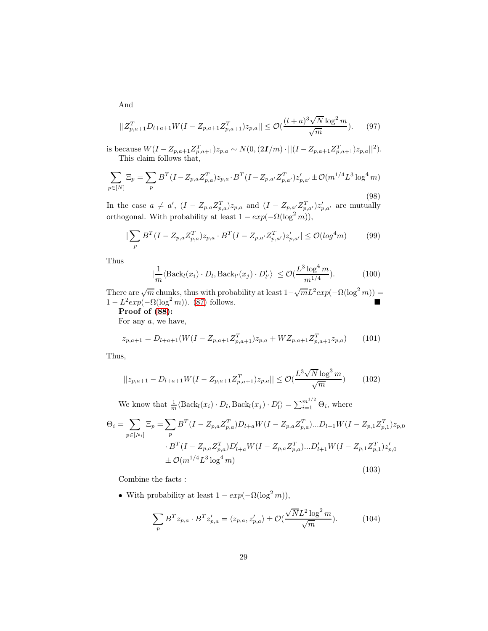$$
||Z_{p,a+1}^T D_{l+a+1} W(I - Z_{p,a+1} Z_{p,a+1}^T) z_{p,a}|| \le \mathcal{O}(\frac{(l+a)^3 \sqrt{N} \log^2 m}{\sqrt{m}}). \tag{97}
$$

is because  $W(I - Z_{p,a+1}Z_{p,a+1}^T)z_{p,a} \sim N(0, (2I/m) \cdot ||(I - Z_{p,a+1}Z_{p,a+1}^T)z_{p,a}||^2)$ . This claim follows that,

$$
\sum_{p \in [N]} \Xi_p = \sum_p B^T (I - Z_{p,a} Z_{p,a}^T) z_{p,a} \cdot B^T (I - Z_{p,a'} Z_{p,a'}^T) z_{p,a'}' \pm \mathcal{O}(m^{1/4} L^3 \log^4 m)
$$
\n(98)

In the case  $a \neq a'$ ,  $(I - Z_{p,a}Z_{p,a}^T)z_{p,a}$  and  $(I - Z_{p,a'}Z_{p,a'}^T)z_{p,a'}'$  are mutually orthogonal. With probability at least  $1 - exp(-\Omega(\log^2 m))$ ,

$$
|\sum_{p} B^{T} (I - Z_{p,a} Z_{p,a}^{T}) z_{p,a} \cdot B^{T} (I - Z_{p,a'} Z_{p,a'}^{T}) z_{p,a'}' | \leq \mathcal{O}(\log^{4} m)
$$
(99)

Thus

$$
\left|\frac{1}{m}\langle \text{Back}_l(x_i)\cdot D_l, \text{Back}_{l'}(x_j)\cdot D'_{l'}\rangle\right| \leq \mathcal{O}(\frac{L^3\log^4 m}{m^{1/4}}). \tag{100}
$$

There are  $\sqrt{m}$  chunks, thus with probability at least  $1-\sqrt{m}L^2 exp(-\Omega(\log^2 m))$  =  $1 - L^2 exp(-\Omega(\log^2 m))$ . [\(87\)](#page-27-1) follows.

Proof of [\(88\)](#page-27-2):

For any a, we have,

$$
z_{p,a+1} = D_{l+a+1}(W(I - Z_{p,a+1}Z_{p,a+1}^T)z_{p,a} + WZ_{p,a+1}Z_{p,a+1}^T z_{p,a})
$$
 (101)

Thus,

$$
||z_{p,a+1} - D_{l+a+1}W(I - Z_{p,a+1}Z_{p,a+1}^T)z_{p,a}|| \leq \mathcal{O}(\frac{L^3 \sqrt{N} \log^3 m}{\sqrt{m}})
$$
(102)

We know that  $\frac{1}{m} \langle \text{Back}_l(x_i) \cdot D_l, \text{Back}_l(x_j) \cdot D'_l \rangle = \sum_{i=1}^{m^{1/2}} \Theta_i$ , where

$$
\Theta_{i} = \sum_{p \in [N_{i}]} \Xi_{p} = \sum_{p} B^{T} (I - Z_{p,a} Z_{p,a}^{T}) D_{l+a} W (I - Z_{p,a} Z_{p,a}^{T}) ... D_{l+1} W (I - Z_{p,1} Z_{p,1}^{T}) z_{p,0}
$$
  
\n
$$
\cdot B^{T} (I - Z_{p,a} Z_{p,a}^{T}) D'_{l+a} W (I - Z_{p,a} Z_{p,a}^{T}) ... D'_{l+1} W (I - Z_{p,1} Z_{p,1}^{T}) z'_{p,0}
$$
  
\n
$$
\pm \mathcal{O}(m^{1/4} L^{3} \log^{4} m)
$$
\n(103)

Combine the facts :

• With probability at least  $1 - exp(-\Omega(\log^2 m))$ ,

$$
\sum_{p} B^{T} z_{p,a} \cdot B^{T} z'_{p,a} = \langle z_{p,a}, z'_{p,a} \rangle \pm \mathcal{O}(\frac{\sqrt{N} L^{2} \log^{2} m}{\sqrt{m}}). \tag{104}
$$

And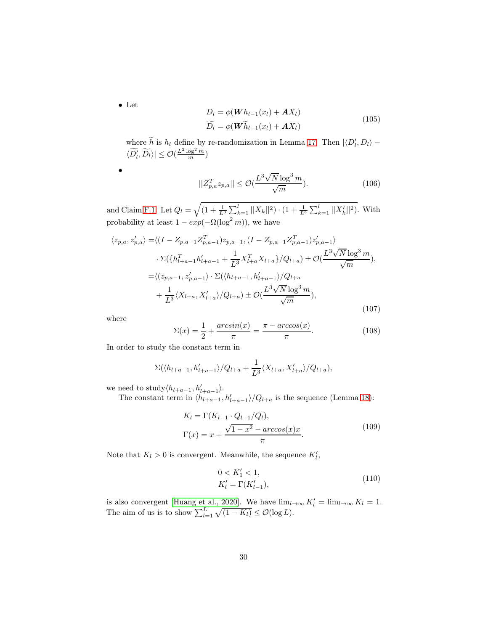• Let

•

$$
D_l = \phi(\boldsymbol{W}h_{l-1}(x_l) + \boldsymbol{A}X_l)
$$
  
\n
$$
\widetilde{D_l} = \phi(\boldsymbol{W}\widetilde{h}_{l-1}(x_l) + \boldsymbol{A}X_l)
$$
\n(105)

where h is  $h_l$  define by re-randomization in Lemma [17.](#page-24-1) Then  $|\langle D'_l, D_l \rangle - \langle D'_l, D'_l \rangle|$  $\langle \widetilde{D'_l}, \widetilde{D_l} \rangle \leq \mathcal{O}(\frac{L^2 \log^2 m}{m})$ 

$$
||Z_{p,a}^T z_{p,a}|| \le \mathcal{O}(\frac{L^3 \sqrt{N} \log^3 m}{\sqrt{m}}). \tag{106}
$$

and Claim [F.1.](#page-30-0) Let  $Q_l = \sqrt{(1 + \frac{1}{L^3} \sum_{k=1}^l ||X_k||^2) \cdot (1 + \frac{1}{L^3} \sum_{k=1}^l ||X'_k||^2)}$ . With probability at least  $1 - exp(-\Omega(\log^2 m))$ , we have

$$
\langle z_{p,a}, z'_{p,a} \rangle = \langle (I - Z_{p,a-1} Z_{p,a-1}^T) z_{p,a-1}, (I - Z_{p,a-1} Z_{p,a-1}^T) z'_{p,a-1} \rangle
$$
  
\n
$$
\cdot \Sigma(\{h_{l+a-1}^T h'_{l+a-1} + \frac{1}{L^3} X_{l+a}^T X_{l+a}\} / Q_{l+a}) \pm \mathcal{O}(\frac{L^3 \sqrt{N} \log^3 m}{\sqrt{m}}),
$$
  
\n
$$
= \langle (z_{p,a-1}, z'_{p,a-1}) \cdot \Sigma(\langle h_{l+a-1}, h'_{l+a-1} \rangle / Q_{l+a} + \frac{1}{L^3} \langle X_{l+a}, X'_{l+a} \rangle / Q_{l+a}) \pm \mathcal{O}(\frac{L^3 \sqrt{N} \log^3 m}{\sqrt{m}}),
$$
  
\n(107)

where

$$
\Sigma(x) = \frac{1}{2} + \frac{\arcsin(x)}{\pi} = \frac{\pi - \arccos(x)}{\pi}.
$$
\n(108)

In order to study the constant term in

$$
\Sigma(\langle h_{l+a-1}, h'_{l+a-1} \rangle / Q_{l+a} + \frac{1}{L^3} \langle X_{l+a}, X'_{l+a} \rangle / Q_{l+a}),
$$

we need to study $\langle h_{l+a-1}, h'_{l+a-1} \rangle$ .

The constant term in  $\langle h_{l+a-1}, h'_{l+a-1} \rangle / Q_{l+a}$  is the sequence (Lemma [18\)](#page-26-0):

$$
K_l = \Gamma(K_{l-1} \cdot Q_{l-1}/Q_l),
$$
  
\n
$$
\Gamma(x) = x + \frac{\sqrt{1 - x^2} - \arccos(x)x}{\pi}.
$$
\n(109)

Note that  $K_l > 0$  is convergent. Meanwhile, the sequence  $K'_l$ ,

$$
0 < K_1' < 1, \\
K_l' = \Gamma(K_{l-1}'),\n\tag{110}
$$

is also convergent [\[Huang et al., 2020\]](#page-15-11). We have  $\lim_{l\to\infty} K'_l = \lim_{l\to\infty} K_l = 1$ . The aim of us is to show  $\sum_{l=1}^{L} \sqrt{(1 - K_l)} \leq \mathcal{O}(\log L)$ .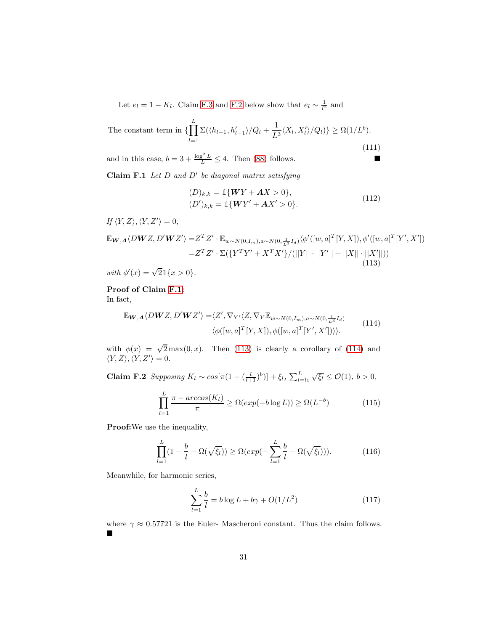Let  $e_l = 1 - K_l$ . Claim [F.3](#page-30-1) and [F.2](#page-30-2) below show that  $e_l \sim \frac{1}{l^2}$  and

The constant term in 
$$
\{\prod_{l=1}^{L} \Sigma(\langle h_{l-1}, h'_{l-1} \rangle / Q_l + \frac{1}{L^3} \langle X_l, X'_l \rangle / Q_l) \} \ge \Omega(1/L^b).
$$
\n(111)

<span id="page-30-0"></span>and in this case,  $b = 3 + \frac{\log^2 L}{L} \le 4$ . Then [\(88\)](#page-27-2) follows.

**Claim F.1** Let  $D$  and  $D'$  be diagonal matrix satisfying

$$
(D)_{k,k} = \mathbb{1}\{WY + AX > 0\},
$$
  
\n
$$
(D')_{k,k} = \mathbb{1}\{WY' + AX' > 0\}.
$$
\n(112)

If  $\langle Y, Z \rangle, \langle Y, Z' \rangle = 0$ ,

<span id="page-30-3"></span>
$$
\mathbb{E}_{\mathbf{W},\mathbf{A}}\langle D\mathbf{W}Z, D'\mathbf{W}Z'\rangle = Z^T Z' \cdot \mathbb{E}_{w \sim N(0,I_m),a \sim N(0,\frac{1}{L^3}I_d)}\langle \phi'([w,a]^T[Y,X]), \phi'([w,a]^T[Y',X'])
$$
  
=  $Z^T Z' \cdot \Sigma(\lbrace Y^T Y' + X^T X'\rbrace / (||Y|| \cdot ||Y'|| + ||X|| \cdot ||X'||))$  (113)

with  $\phi'(x) = \sqrt{2} \mathbb{1}\{x > 0\}.$ 

Proof of Claim [F.1:](#page-30-0)

In fact,

<span id="page-30-4"></span>
$$
\mathbb{E}_{\mathbf{W},\mathbf{A}}\langle DWZ, D'\mathbf{W}Z'\rangle = \langle Z', \nabla_{Y'}\langle Z, \nabla_{Y}\mathbb{E}_{w\sim N(0,I_m),a\sim N(0,\frac{1}{L^3}I_d)} \rangle
$$
  

$$
\langle \phi([w,a]^T[Y,X]), \phi([w,a]^T[Y',X']) \rangle \rangle.
$$
 (114)

<span id="page-30-2"></span>with  $\phi(x) = \sqrt{2} \max(0, x)$ . Then [\(113\)](#page-30-3) is clearly a corollary of [\(114\)](#page-30-4) and  $\langle Y, Z \rangle, \langle Y, Z' \rangle = 0.$ 

**Claim F.2** Supposing  $K_l \sim \cos[\pi(1 - (\frac{l}{l+1})^b)] + \xi_l$ ,  $\sum_{l=l_1}^{L} \sqrt{\xi_l} \leq \mathcal{O}(1)$ ,  $b > 0$ ,

$$
\prod_{l=1}^{L} \frac{\pi - \arccos(K_l)}{\pi} \ge \Omega(\exp(-b \log L)) \ge \Omega(L^{-b})
$$
\n(115)

Proof:We use the inequality,

$$
\prod_{l=1}^{L} (1 - \frac{b}{l} - \Omega(\sqrt{\xi_l})) \ge \Omega(\exp(-\sum_{l=1}^{L} \frac{b}{l} - \Omega(\sqrt{\xi_l}))).
$$
\n(116)

Meanwhile, for harmonic series,

$$
\sum_{l=1}^{L} \frac{b}{l} = b \log L + b\gamma + O(1/L^2)
$$
\n(117)

<span id="page-30-1"></span>where  $\gamma \approx 0.57721$  is the Euler-Mascheroni constant. Thus the claim follows.  $\blacksquare$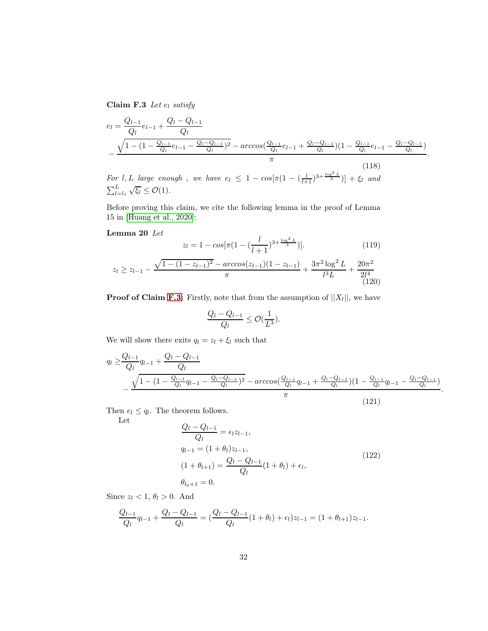Claim F.3 Let  $e_l$  satisfy

$$
e_{l} = \frac{Q_{l-1}}{Q_{l}} e_{l-1} + \frac{Q_{l} - Q_{l-1}}{Q_{l}}
$$
  

$$
-\frac{\sqrt{1 - (1 - \frac{Q_{l-1}}{Q_{l}} e_{l-1} - \frac{Q_{l} - Q_{l-1}}{Q_{l}})^{2}} - arccos(\frac{Q_{l-1}}{Q_{l}} e_{l-1} + \frac{Q_{l} - Q_{l-1}}{Q_{l}})(1 - \frac{Q_{l-1}}{Q_{l}} e_{l-1} - \frac{Q_{l} - Q_{l-1}}{Q_{l}})}{\pi}.
$$
  
For *l, l, large, enough, we have*  $e_{l} \leq 1 - \cos[\pi(1 - (l-3 + \frac{\log^{2} L}{\delta})] + \epsilon, and$  (118)

For l, L large enough, we have  $e_l \leq 1 - \cos[\pi(1 - (\frac{l}{l+1})^{3 + \frac{\log^2 L}{L}})] + \xi_l$  and  $\sum_{l=l_1}^{L} \sqrt{\xi_l} \leq \mathcal{O}(1).$ 

Before proving this claim, we cite the following lemma in the proof of Lemma 15 in [\[Huang et al., 2020\]](#page-15-11):

### Lemma 20 Let

<span id="page-31-0"></span>
$$
z_{l} = 1 - \cos[\pi(1 - (\frac{l}{l+1})^{3 + \frac{\log^{2} L}{L}})]. \tag{119}
$$
\n
$$
z_{l} \ge z_{l-1} - \frac{\sqrt{1 - (1 - z_{l-1})^{2} - \arccos(z_{l-1})(1 - z_{l-1})}}{\pi} + \frac{3\pi^{2} \log^{2} L}{l^{3} L} + \frac{20\pi^{2}}{2l^{4}} \tag{120}
$$

**Proof of Claim [F.3:](#page-30-1)** Firstly, note that from the assumption of  $||X_l||$ , we have

$$
\frac{Q_l - Q_{l-1}}{Q_l} \le \mathcal{O}(\frac{1}{L^3}).
$$

We will show there exits  $q_l = z_l + \xi_l$  such that

$$
q_{l} \geq \frac{Q_{l-1}}{Q_{l}} q_{l-1} + \frac{Q_{l} - Q_{l-1}}{Q_{l}} - \frac{\sqrt{1 - (1 - \frac{Q_{l-1}}{Q_{l}} q_{l-1} - \frac{Q_{l} - Q_{l-1}}{Q_{l}})^{2}} - arccos(\frac{Q_{l-1}}{Q_{l}} q_{l-1} + \frac{Q_{l} - Q_{l-1}}{Q_{l}})(1 - \frac{Q_{l-1}}{Q_{l}} q_{l-1} - \frac{Q_{l} - Q_{l-1}}{Q_{l}})}{\pi}
$$
\n(121)

.

Then  $e_l \leq q_l$ . The theorem follows. Let

$$
\frac{Q_l - Q_{l-1}}{Q_l} = \epsilon_l z_{l-1},
$$
\n
$$
q_{l-1} = (1 + \theta_l) z_{l-1},
$$
\n
$$
(1 + \theta_{l+1}) = \frac{Q_l - Q_{l-1}}{Q_l}(1 + \theta_l) + \epsilon_l,
$$
\n
$$
\theta_{l_0+1} = 0.
$$
\n(122)

Since  $z_l < 1, \theta_l > 0$ . And

$$
\frac{Q_{l-1}}{Q_l}q_{l-1} + \frac{Q_l - Q_{l-1}}{Q_l} = \left(\frac{Q_l - Q_{l-1}}{Q_l}(1 + \theta_l) + \epsilon_l\right)z_{l-1} = (1 + \theta_{l+1})z_{l-1}.
$$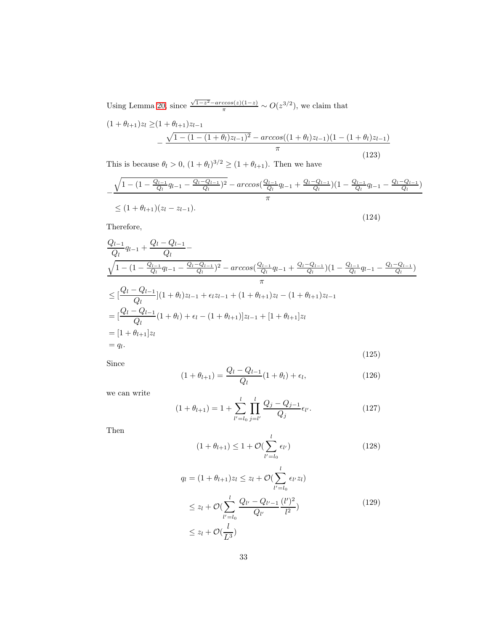Using Lemma [20,](#page-31-0) since  $\frac{\sqrt{1-z^2}-\arccos(z)(1-z)}{\pi} \sim O(z^{3/2})$ , we claim that

$$
(1 + \theta_{l+1})z_l \ge (1 + \theta_{l+1})z_{l-1}
$$
  
 
$$
- \frac{\sqrt{1 - (1 - (1 + \theta_l)z_{l-1})^2} - \arccos((1 + \theta_l)z_{l-1})(1 - (1 + \theta_l)z_{l-1})}{\pi}
$$
  
(123)

This is because  $\theta_l > 0$ ,  $(1 + \theta_l)^{3/2} \ge (1 + \theta_{l+1})$ . Then we have

$$
-\frac{\sqrt{1 - (1 - \frac{Q_{l-1}}{Q_l}q_{l-1} - \frac{Q_l - Q_{l-1}}{Q_l})^2} - arccos(\frac{Q_{l-1}}{Q_l}q_{l-1} + \frac{Q_l - Q_{l-1}}{Q_l})(1 - \frac{Q_{l-1}}{Q_l}q_{l-1} - \frac{Q_l - Q_{l-1}}{Q_l})}{\pi}
$$
  
 
$$
\leq (1 + \theta_{l+1})(z_l - z_{l-1}).
$$
 (124)

Therefore,

$$
\frac{Q_{l-1}}{Q_l}q_{l-1} + \frac{Q_l - Q_{l-1}}{Q_l} - \frac{Q_{l-1}}{Q_l}q_{l-1} - \frac{Q_l - Q_{l-1}}{Q_l}\gamma - arccos(\frac{Q_{l-1}}{Q_l}q_{l-1} + \frac{Q_l - Q_{l-1}}{Q_l})(1 - \frac{Q_{l-1}}{Q_l}q_{l-1} - \frac{Q_l - Q_{l-1}}{Q_l})\pi
$$
\n
$$
\leq [\frac{Q_l - Q_{l-1}}{Q_l}](1 + \theta_l)z_{l-1} + \epsilon_l z_{l-1} + (1 + \theta_{l+1})z_l - (1 + \theta_{l+1})z_{l-1}
$$
\n
$$
= [\frac{Q_l - Q_{l-1}}{Q_l}(1 + \theta_l) + \epsilon_l - (1 + \theta_{l+1})]z_{l-1} + [1 + \theta_{l+1}]z_l
$$
\n
$$
= [1 + \theta_{l+1}]z_l
$$
\n
$$
= q_l.
$$
\n(125)

Since

$$
(1 + \theta_{l+1}) = \frac{Q_l - Q_{l-1}}{Q_l}(1 + \theta_l) + \epsilon_l,
$$
\n(126)

we can write

$$
(1 + \theta_{l+1}) = 1 + \sum_{l'=l_0}^{l} \prod_{j=l'}^{l} \frac{Q_j - Q_{j-1}}{Q_j} \epsilon_{l'}.
$$
 (127)

Then

$$
(1 + \theta_{l+1}) \le 1 + \mathcal{O}(\sum_{l'=l_0}^{l} \epsilon_{l'})
$$
\n(128)

$$
q_{l} = (1 + \theta_{l+1})z_{l} \le z_{l} + \mathcal{O}(\sum_{l'=l_{0}}^{l} \epsilon_{l'} z_{l})
$$
  
\n
$$
\le z_{l} + \mathcal{O}(\sum_{l'=l_{0}}^{l} \frac{Q_{l'} - Q_{l'-1}}{Q_{l'}} \frac{(l')^{2}}{l^{2}})
$$
  
\n
$$
\le z_{l} + \mathcal{O}(\frac{l}{L^{3}})
$$
\n(129)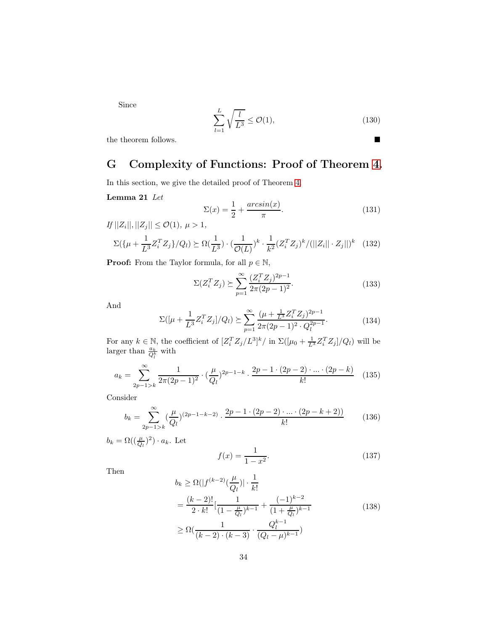Since

$$
\sum_{l=1}^{L} \sqrt{\frac{l}{L^3}} \le \mathcal{O}(1),\tag{130}
$$

the theorem follows.  $\blacksquare$ 

# G Complexity of Functions: Proof of Theorem [4.](#page-7-3)

<span id="page-33-0"></span>In this section, we give the detailed proof of Theorem [4.](#page-7-3)

### Lemma 21 Let

$$
\Sigma(x) = \frac{1}{2} + \frac{\arcsin(x)}{\pi}.
$$
\n(131)

 $If ||Z_i||, ||Z_j|| \leq \mathcal{O}(1), \ \mu > 1,$ 

$$
\Sigma(\{\mu + \frac{1}{L^3}Z_i^T Z_j\}/Q_l) \succeq \Omega(\frac{1}{L^3}) \cdot (\frac{1}{\mathcal{O}(L)})^k \cdot \frac{1}{k^2} (Z_i^T Z_j)^k / (||Z_i|| \cdot Z_j||)^k \tag{132}
$$

**Proof:** From the Taylor formula, for all  $p \in \mathbb{N}$ ,

$$
\Sigma(Z_i^T Z_j) \succeq \sum_{p=1}^{\infty} \frac{(Z_i^T Z_j)^{2p-1}}{2\pi (2p-1)^2}.
$$
 (133)

And

$$
\Sigma\left( [\mu + \frac{1}{L^3} Z_i^T Z_j] / Q_l \right) \succeq \sum_{p=1}^{\infty} \frac{(\mu + \frac{1}{L^3} Z_i^T Z_j)^{2p-1}}{2\pi (2p-1)^2 \cdot Q_l^{2p-1}}.
$$
 (134)

For any  $k \in \mathbb{N}$ , the coefficient of  $[Z_i^T Z_j/L^3]^k / \text{ in } \Sigma([\mu_0 + \frac{1}{L^3} Z_i^T Z_j]/Q_l)$  will be larger than  $\frac{a_k}{Q_l^k}$  with

$$
a_k = \sum_{2p-1>k}^{\infty} \frac{1}{2\pi(2p-1)^2} \cdot \left(\frac{\mu}{Q_l}\right)^{2p-1-k} \cdot \frac{2p-1 \cdot (2p-2) \cdot \ldots \cdot (2p-k)}{k!} \tag{135}
$$

Consider

$$
b_k = \sum_{2p-1>k}^{\infty} \left(\frac{\mu}{Q_l}\right)^{(2p-1-k-2)} \cdot \frac{2p-1 \cdot (2p-2) \cdot \ldots \cdot (2p-k+2))}{k!} \tag{136}
$$

 $b_k = \Omega\left(\left(\frac{\mu}{Q_l}\right)^2\right) \cdot a_k$ . Let

$$
f(x) = \frac{1}{1 - x^2}.\tag{137}
$$

Then

$$
b_k \ge \Omega(|f^{(k-2)}(\frac{\mu}{Q_l})| \cdot \frac{1}{k!}
$$
  
=  $\frac{(k-2)!}{2 \cdot k!} [\frac{1}{(1 - \frac{\mu}{Q_l})^{k-1}} + \frac{(-1)^{k-2}}{(1 + \frac{\mu}{Q_l})^{k-1}}$   
 $\ge \Omega(\frac{1}{(k-2) \cdot (k-3)} \cdot \frac{Q_l^{k-1}}{(Q_l - \mu)^{k-1}})$  (138)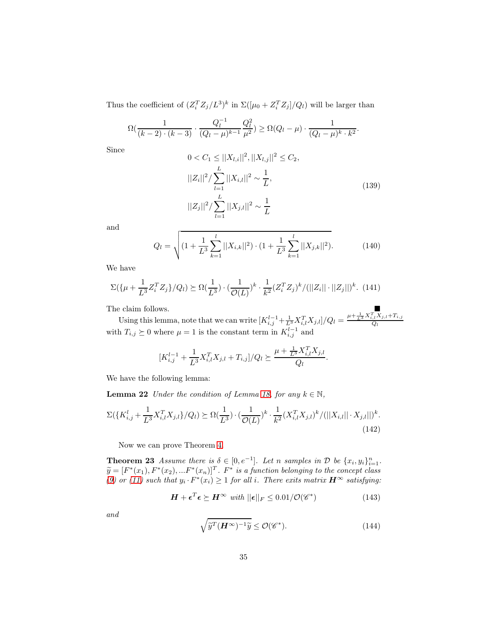Thus the coefficient of  $(Z_i^T Z_j/L^3)^k$  in  $\Sigma([{\mu_0} + Z_i^T Z_j]/Q_l)$  will be larger than

$$
\Omega\left(\frac{1}{(k-2)\cdot(k-3)}\cdot\frac{Q_l^{-1}}{(Q_l-\mu)^{k-1}}\frac{Q_l^2}{\mu^2}\right) \ge \Omega(Q_l-\mu)\cdot\frac{1}{(Q_l-\mu)^{k}\cdot k^2}.
$$

Since

$$
0 < C_1 \le ||X_{l,i}||^2, ||X_{l,j}||^2 \le C_2,
$$
\n
$$
||Z_i||^2 / \sum_{l=1}^L ||X_{i,l}||^2 \sim \frac{1}{L},
$$
\n
$$
||Z_j||^2 / \sum_{l=1}^L ||X_{j,l}||^2 \sim \frac{1}{L}.
$$
\n
$$
(139)
$$

and

$$
Q_l = \sqrt{\left(1 + \frac{1}{L^3} \sum_{k=1}^l ||X_{i,k}||^2\right) \cdot \left(1 + \frac{1}{L^3} \sum_{k=1}^l ||X_{j,k}||^2\right)}. \tag{140}
$$

We have

$$
\Sigma(\{\mu + \frac{1}{L^3}Z_i^T Z_j\}/Q_l) \succeq \Omega(\frac{1}{L^3}) \cdot (\frac{1}{\mathcal{O}(L)})^k \cdot \frac{1}{k^2} (Z_i^T Z_j)^k / (||Z_i|| \cdot ||Z_j||)^k. \tag{141}
$$

The claim follows. Using this lemma, note that we can write  $\left[K_{i,j}^{l-1} + \frac{1}{L^3} X_{i,l}^T X_{j,l}\right]/Q_l = \frac{\mu + \frac{1}{L^3} X_{i,l}^T X_{j,l} + T_{i,j}}{Q_l}$ with  $T_{i,j} \geq 0$  where  $\mu = 1$  is the constant term in  $K_{i,j}^{l-1}$  and

<span id="page-34-1"></span>
$$
[K_{i,j}^{l-1} + \frac{1}{L^3} X_{i,l}^T X_{j,l} + T_{i,j}] / Q_l \succeq \frac{\mu + \frac{1}{L^3} X_{i,l}^T X_{j,l}}{Q_l}.
$$

We have the following lemma:

**Lemma 22** Under the condition of Lemma [18,](#page-26-0) for any  $k \in \mathbb{N}$ ,

$$
\Sigma(\{K_{i,j}^l + \frac{1}{L^3} X_{i,l}^T X_{j,l}\}/Q_l) \succeq \Omega(\frac{1}{L^3}) \cdot (\frac{1}{\mathcal{O}(L)})^k \cdot \frac{1}{k^2} (X_{i,l}^T X_{j,l})^k / (||X_{i,l}|| \cdot X_{j,l}||)^k.
$$
\n(142)

Now we can prove Theorem [4.](#page-7-3)

**Theorem 23** Assume there is  $\delta \in [0, e^{-1}]$ . Let n samples in  $\mathcal{D}$  be  $\{x_i, y_i\}_{i=1}^n$ .  $\widetilde{y} = [F^*(x_1), F^*(x_2), ... F^*(x_n)]^T$ .  $F^*$  is a function belonging to the concept class [\(9\)](#page-4-1) or [\(11\)](#page-4-2) such that  $y_i \cdot F^*(x_i) \geq 1$  for all i. There exits matrix  $H^{\infty}$  satisfying:

<span id="page-34-0"></span>
$$
\boldsymbol{H} + \boldsymbol{\epsilon}^T \boldsymbol{\epsilon} \succeq \boldsymbol{H}^{\infty} \ \text{with} \ ||\boldsymbol{\epsilon}||_F \leq 0.01/\mathcal{O}(\mathscr{C}^*) \tag{143}
$$

and

$$
\sqrt{\widetilde{y}^T(\boldsymbol{H}^{\infty})^{-1}\widetilde{y}} \le \mathcal{O}(\mathscr{C}^*). \tag{144}
$$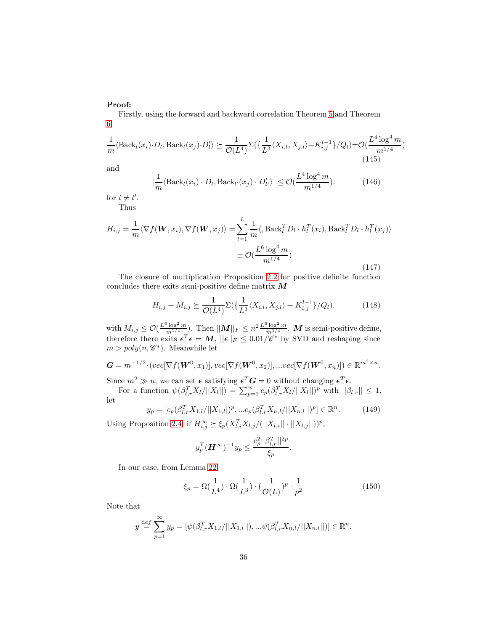### Proof:

Firstly, using the forward and backward correlation Theorem [5](#page-8-4) and Theorem [6,](#page-8-1)

$$
\frac{1}{m}\langle \text{Back}_l(x_i)\cdot D_l, \text{Back}_l(x_j)\cdot D_l'\rangle \succeq \frac{1}{\mathcal{O}(L^4)}\Sigma(\{\frac{1}{L^3}\langle X_{i,l}, X_{j,l}\rangle + K_{i,j}^{l-1}\}/Q_l) \pm \mathcal{O}(\frac{L^4\log^4 m}{m^{1/4}}) \tag{145}
$$

and

$$
\left|\frac{1}{m}\langle \text{Back}_l(x_i)\cdot D_l, \text{Back}_{l'}(x_j)\cdot D'_{l'}\rangle\right| \leq \mathcal{O}(\frac{L^4\log^4 m}{m^{1/4}}). \tag{146}
$$

for  $l \neq l'$ .

Thus

$$
H_{i,j} = \frac{1}{m} \langle \nabla f(\boldsymbol{W}, x_i), \nabla f(\boldsymbol{W}, x_j) \rangle = \sum_{l=1}^{L} \frac{1}{m} \langle \operatorname{Back}_{l}^{T} D_l \cdot h_l^{T}(x_i), \operatorname{Back}_{l}^{T} D_l \cdot h_l^{T}(x_j) \rangle
$$

$$
\pm \mathcal{O}(\frac{L^6 \log^4 m}{m^{1/4}})
$$
(147)

The closure of multiplication Proposition [2.2](#page-5-2) for positive definite function concludes there exits semi-positive define matrix  $M$ 

$$
H_{i,j} + M_{i,j} \succeq \frac{1}{\mathcal{O}(L^4)} \Sigma(\{\frac{1}{L^3} \langle X_{i,l}, X_{j,l} \rangle + K_{i,j}^{l-1} \} / Q_l). \tag{148}
$$

with  $M_{i,j} \leq \mathcal{O}(\frac{L^6 \log^2 m}{m^{1/4}})$ . Then  $||M||_F \leq n^2 \frac{L^6 \log^2 m}{m^{1/4}}$  $\frac{\log^2 m}{m^{1/4}}$ . **M** is semi-positive define, therefore there exits  $\epsilon^T \epsilon = M$ ,  $||\epsilon||_F \leq 0.01/\mathscr{C}^*$  by SVD and reshaping since  $m > poly(n, \mathscr{C}^*)$ . Meanwhile let

$$
\mathbf{G} = m^{-1/2} \cdot (vec[\nabla f(\mathbf{W}^0, x_1)], vec[\nabla f(\mathbf{W}^0, x_2)], \dots vec[\nabla f(\mathbf{W}^0, x_n)]) \in \mathbb{R}^{m^2 \times n}.
$$

Since  $m^2 \gg n$ , we can set  $\epsilon$  satisfying  $\epsilon^T G = 0$  without changing  $\epsilon^T \epsilon$ .

For a function  $\psi(\beta_{l,r}^T X_l/||X_l||) = \sum_{p=1}^{\infty} c_p(\beta_{l,r}^T X_l/||X_l||)^p$  with  $||\beta_{l,r}|| \leq 1$ , let

$$
y_p = [c_p(\beta_{l,r}^T X_{1,l} / ||X_{1,l}|)^p, ... c_p(\beta_{l,r}^T X_{n,l} / ||X_{n,l}||)^p] \in \mathbb{R}^n.
$$
 (149)

Using Proposition [2.4,](#page-5-1) if  $H_{i,j}^{\infty} \succeq \xi_p(X_{l,i}^T X_{l,j}/(||X_{l,i}|| \cdot ||X_{l,j}||))^p$ ,

$$
y_p^T(\boldsymbol{H}^{\infty})^{-1}y_p \leq \frac{c_p^2 ||\beta_{l,r}^T||^{2p}}{\xi_p}.
$$

In our case, from Lemma [22,](#page-34-1)

$$
\xi_p = \Omega\left(\frac{1}{L^4}\right) \cdot \Omega\left(\frac{1}{L^3}\right) \cdot \left(\frac{1}{\mathcal{O}(L)}\right)^p \cdot \frac{1}{p^2}
$$
\n(150)

Note that

$$
y \stackrel{\text{def}}{=} \sum_{p=1}^{\infty} y_p = [\psi(\beta_{l,r}^T X_{1,l}/||X_{1,l}||),...\psi(\beta_{l,r}^T X_{n,l}/||X_{n,l}||)] \in \mathbb{R}^n.
$$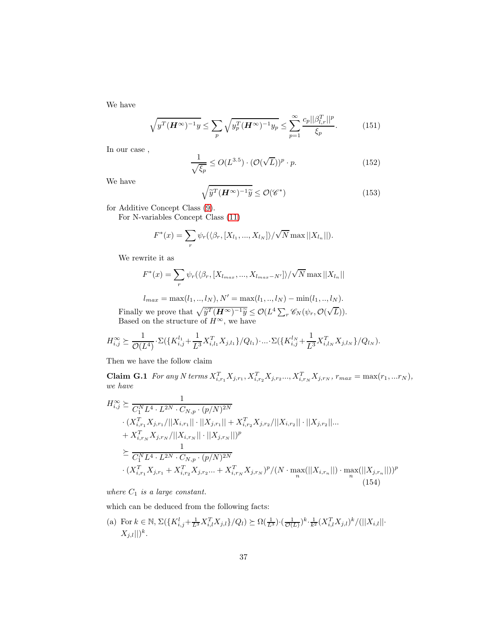We have

$$
\sqrt{y^T(\boldsymbol{H}^{\infty})^{-1}y} \le \sum_p \sqrt{y_p^T(\boldsymbol{H}^{\infty})^{-1}y_p} \le \sum_{p=1}^{\infty} \frac{c_p ||\beta_{l,r}^T||^p}{\xi_p}.
$$
 (151)

In our case ,

$$
\frac{1}{\sqrt{\xi_p}} \le O(L^{3.5}) \cdot (\mathcal{O}(\sqrt{L}))^p \cdot p. \tag{152}
$$

We have

<span id="page-36-0"></span>
$$
\sqrt{\widetilde{y}^T(\boldsymbol{H}^{\infty})^{-1}\widetilde{y}} \le \mathcal{O}(\mathscr{C}^*)
$$
\n(153)

for Additive Concept Class [\(9\)](#page-4-1).

For N-variables Concept Class [\(11\)](#page-4-2)

$$
F^*(x) = \sum_{r} \psi_r(\langle \beta_r, [X_{l_1}, ..., X_{l_N}]\rangle / \sqrt{N} \max ||X_{l_n}||).
$$

We rewrite it as

$$
F^*(x) = \sum_{r} \psi_r(\langle \beta_r, [X_{l_{max}}, ..., X_{l_{max}-N'}] \rangle / \sqrt{N} \max ||X_{l_n}||
$$

$$
l_{max} = \max(l_1, ..., l_N), N' = \max(l_1, ..., l_N) - \min(l_1, ..., l_N).
$$

Finally we prove that  $\sqrt{\widetilde{y}^T (H^{\infty})^{-1} \widetilde{y}} \leq \mathcal{O}(L^4 \sum_r \mathscr{C}_N(\psi_r, \mathcal{O}(\sqrt{L})).$ Based on the structure of  $H^{\infty}$ , we have

$$
H_{i,j}^{\infty} \succeq \frac{1}{\mathcal{O}(L^4)} \cdot \Sigma(\lbrace K_{i,j}^{l_1} + \frac{1}{L^3} X_{i,l_1}^T X_{j,l_1} \rbrace / Q_{l_1}) \cdot ... \cdot \Sigma(\lbrace K_{i,j}^{l_N} + \frac{1}{L^3} X_{i,l_N}^T X_{j,l_N} \rbrace / Q_{l_N}).
$$

Then we have the follow claim

Claim G.1 For any N terms  $X_{i,r_1}^T X_{j,r_1}, X_{i,r_2}^T X_{j,r_2} \dots, X_{i,r_N}^T X_{j,r_N}, r_{max} = \max(r_1, ... r_N),$ we have

$$
H_{i,j}^{\infty} \succeq \frac{1}{C_1^N L^4 \cdot L^{2N} \cdot C_{N,p} \cdot (p/N)^{2N}}
$$
  
\n
$$
\cdot (X_{i,r_1}^T X_{j,r_1}/||X_{i,r_1}|| \cdot ||X_{j,r_1}|| + X_{i,r_2}^T X_{j,r_2}/||X_{i,r_2}|| \cdot ||X_{j,r_2}||... + X_{i,r_N}^T X_{j,r_N}/||X_{i,r_N}|| \cdot ||X_{j,r_N}||)^p
$$
  
\n
$$
\succeq \frac{1}{C_1^N L^4 \cdot L^{2N} \cdot C_{N,p} \cdot (p/N)^{2N}}
$$
  
\n
$$
\cdot (X_{i,r_1}^T X_{j,r_1} + X_{i,r_2}^T X_{j,r_2} ... + X_{i,r_N}^T X_{j,r_N})^p / (N \cdot \max_n(||X_{i,r_n}||) \cdot \max_n (||X_{j,r_n}||))^p
$$
  
\n(154)

where  $C_1$  is a large constant.

which can be deduced from the following facts:

(a) For 
$$
k \in \mathbb{N}
$$
,  $\Sigma(\lbrace K_{i,j}^l + \frac{1}{L^3} X_{i,l}^T X_{j,l} \rbrace / Q_l) \succeq \Omega(\frac{1}{L^3}) \cdot (\frac{1}{\mathcal{O}(L)})^k \cdot \frac{1}{k^2} (X_{i,l}^T X_{j,l})^k / (||X_{i,l}|| \cdot X_{j,l}||)^k$ .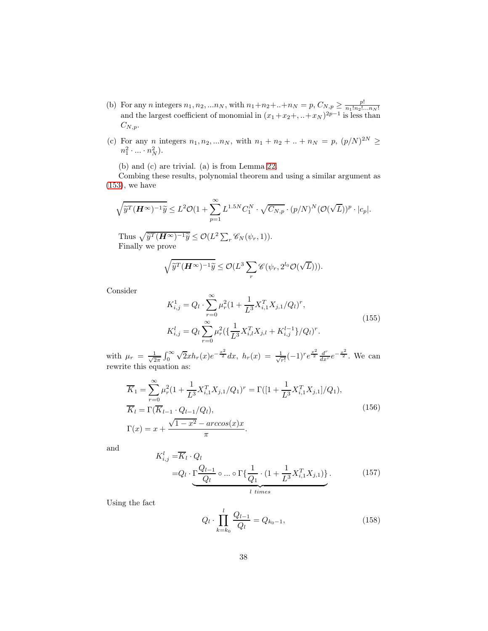- (b) For any *n* integers  $n_1, n_2, \ldots n_N$ , with  $n_1+n_2+\ldots+n_N = p$ ,  $C_{N,p} \ge \frac{p!}{n_1! n_2! \ldots n_N!}$  and the largest coefficient of monomial in  $(x_1+x_2+\ldots+x_N)^{2p-1}$  is less than  $C_{N,p}.$
- (c) For any *n* integers  $n_1, n_2, ... n_N$ , with  $n_1 + n_2 + ... + n_N = p$ ,  $(p/N)^{2N} \ge$  $n_1^2 \cdot ... \cdot n_N^2$ ).

(b) and (c) are trivial. (a) is from Lemma [22.](#page-34-1)

Combing these results, polynomial theorem and using a similar argument as  $(153)$ , we have

$$
\sqrt{\widetilde{y}^T(\boldsymbol{H}^{\infty})^{-1}\widetilde{y}} \le L^2 \mathcal{O}(1+\sum_{p=1}^{\infty} L^{1.5N} C_1^N \cdot \sqrt{C_{N,p}} \cdot (p/N)^N (\mathcal{O}(\sqrt{L}))^p \cdot |c_p|.
$$

Thus  $\sqrt{\tilde{y}^T (\boldsymbol{H}^{\infty})^{-1} \tilde{y}} \leq \mathcal{O}(L^2 \sum_r \mathscr{C}_N(\psi_r, 1)).$ Finally we prove

$$
\sqrt{\widetilde{y}^T(\boldsymbol{H}^{\infty})^{-1}\widetilde{y}} \leq \mathcal{O}(L^3 \sum_r \mathscr{C}(\psi_r, 2^{l_0} \mathcal{O}(\sqrt{L}))).
$$

Consider

$$
K_{i,j}^{1} = Q_{l} \cdot \sum_{r=0}^{\infty} \mu_{r}^{2} (1 + \frac{1}{L^{3}} X_{i,1}^{T} X_{j,1} / Q_{l})^{r},
$$
  
\n
$$
K_{i,j}^{l} = Q_{l} \sum_{r=0}^{\infty} \mu_{r}^{2} (\{\frac{1}{L^{3}} X_{i,l}^{T} X_{j,l} + K_{i,j}^{l-1}\} / Q_{l})^{r}.
$$
\n(155)

with  $\mu_r = \frac{1}{\sqrt{2}}$  $\frac{1}{2\pi} \int_0^\infty \sqrt{2x} h_r(x) e^{-\frac{x^2}{2}} dx$ ,  $h_r(x) = \frac{1}{\sqrt{n}}$  $\frac{1}{r!}(-1)^re^{\frac{x^2}{2}}\frac{d^r}{dx^r}e^{-\frac{x^2}{2}}$ . We can rewrite this equation as:

$$
\overline{K}_1 = \sum_{r=0}^{\infty} \mu_r^2 (1 + \frac{1}{L^3} X_{i,1}^T X_{j,1} / Q_1)^r = \Gamma \left( \left[ 1 + \frac{1}{L^3} X_{i,1}^T X_{j,1} \right] / Q_1 \right),
$$
\n
$$
\overline{K}_l = \Gamma \left( \overline{K}_{l-1} \cdot Q_{l-1} / Q_l \right),
$$
\n
$$
\Gamma(x) = x + \frac{\sqrt{1 - x^2} - \arccos(x)x}{\pi}.
$$
\n(156)

and

$$
K_{i,j}^{l} = \overline{K}_{l} \cdot Q_{l}
$$
  
=  $Q_{l} \cdot \underbrace{\Gamma \frac{Q_{l-1}}{Q_{l}} \circ ... \circ \Gamma \{\frac{1}{Q_{1}} \cdot (1 + \frac{1}{L^{3}} X_{i,1}^{T} X_{j,1})\}}_{l \text{ times}}$ . (157)

Using the fact

$$
Q_l \cdot \prod_{k=k_0}^{l} \frac{Q_{l-1}}{Q_l} = Q_{k_0-1},\tag{158}
$$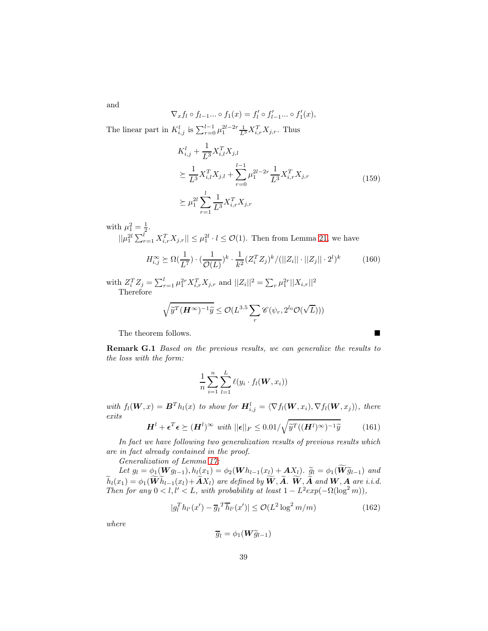and

$$
\nabla_x f_l \circ f_{l-1} \dots \circ f_1(x) = f'_l \circ f'_{l-1} \dots \circ f'_1(x),
$$

The linear part in  $K_{i,j}^l$  is  $\sum_{r=0}^{l-1} \mu_1^{2l-2r} \frac{1}{L^3} X_{i,r}^T X_{j,r}$ . Thus

$$
K_{i,j}^{l} + \frac{1}{L^{3}} X_{i,l}^{T} X_{j,l}
$$
  
\n
$$
\succeq \frac{1}{L^{3}} X_{i,l}^{T} X_{j,l} + \sum_{r=0}^{l-1} \mu_{1}^{2l-2r} \frac{1}{L^{3}} X_{i,r}^{T} X_{j,r}
$$
  
\n
$$
\succeq \mu_{1}^{2l} \sum_{r=1}^{l} \frac{1}{L^{3}} X_{i,r}^{T} X_{j,r}
$$
\n(159)

with  $\mu_1^2 = \frac{1}{2}$ .

 $||\mu_1^{2l} \sum_{r=1}^l X_{i,r}^T X_{j,r}|| \leq \mu_1^{2l} \cdot l \leq \mathcal{O}(1)$ . Then from Lemma [21,](#page-33-0) we have

$$
H_{i,j}^{\infty} \succeq \Omega(\frac{1}{L^7}) \cdot (\frac{1}{\mathcal{O}(L)})^k \cdot \frac{1}{k^2} (Z_i^T Z_j)^k / (||Z_i|| \cdot ||Z_j|| \cdot 2^l)^k \tag{160}
$$

with  $Z_i^T Z_j = \sum_{r=1}^l \mu_1^{2r} X_{i,r}^T X_{j,r}$  and  $||Z_i||^2 = \sum_r \mu_1^{2r} ||X_{i,r}||^2$ Therefore

$$
\sqrt{\widetilde{y}^T(\boldsymbol{H}^{\infty})^{-1}\widetilde{y}} \leq \mathcal{O}(L^{3.5} \sum_r \mathscr{C}(\psi_r, 2^{l_0} \mathcal{O}(\sqrt{L})))
$$

The theorem follows.

Remark G.1 Based on the previous results, we can generalize the results to the loss with the form:

$$
\frac{1}{n}\sum_{i=1}^n\sum_{l=1}^L \ell(y_i \cdot f_l(\boldsymbol{W}, x_i))
$$

with  $f_l(\boldsymbol{W},x) = \boldsymbol{B}^T h_l(x)$  to show for  $\boldsymbol{H}^l_{i,j} = \langle \nabla f_l(\boldsymbol{W}, x_i), \nabla f_l(\boldsymbol{W}, x_j) \rangle$ , there exits

$$
\boldsymbol{H}^{l} + \boldsymbol{\epsilon}^{T} \boldsymbol{\epsilon} \succeq (\boldsymbol{H}^{l})^{\infty} \ \ \text{with} \ ||\boldsymbol{\epsilon}||_{F} \leq 0.01/\sqrt{\widetilde{y}^{T}((\boldsymbol{H}^{l})^{\infty})^{-1}\widetilde{y}}
$$
(161)

In fact we have following two generalization results of previous results which are in fact already contained in the proof.

Generalization of Lemma [17:](#page-24-1)

Let  $g_l = \phi_1(\mathbf{W}g_{l-1}), h_l(x_1) = \phi_2(\mathbf{W}h_{l-1}(x_l) + \mathbf{A}X_l)$ .  $\widetilde{g}_l = \phi_1(\widetilde{\mathbf{W}}\widetilde{g}_{l-1})$  and  $\widetilde{h}_l(x_1) = \phi_1(\widetilde{\mathbf{W}} \widetilde{h}_{l-1}(x_l) + \widetilde{\mathbf{A}} X_l)$  are defined by  $\widetilde{\mathbf{W}}, \widetilde{\mathbf{A}}$ .  $\widetilde{\mathbf{W}}, \widetilde{\mathbf{A}}$  and  $\mathbf{W}, \mathbf{A}$  are i.i.d. Then for any  $0 < l, l' < L$ , with probability at least  $1 - L^2 exp(-\Omega(\log^2 m))$ ,

$$
|g_l^T h_{l'}(x') - \overline{g}_l^T \overline{h}_{l'}(x')| \le \mathcal{O}(L^2 \log^2 m/m)
$$
 (162)

where

$$
\overline{g}_l = \phi_1(\boldsymbol{W}\widetilde{g}_{l-1})
$$

<span id="page-38-0"></span>